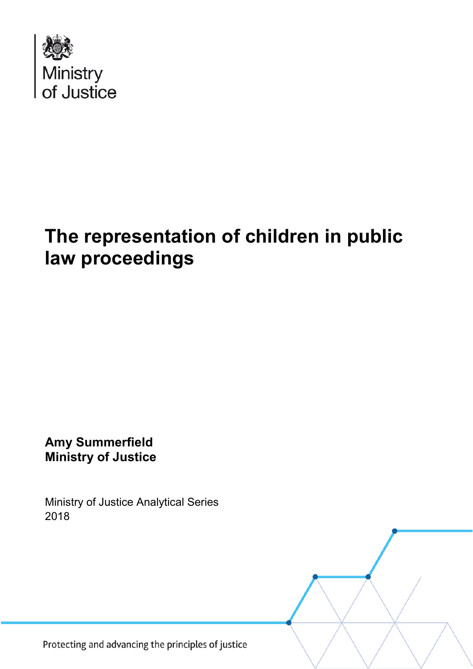

# **The representation of children in public law proceedings**

**Amy Summerfield Ministry of Justice**

Ministry of Justice Analytical Series 2018

Protecting and advancing the principles of justice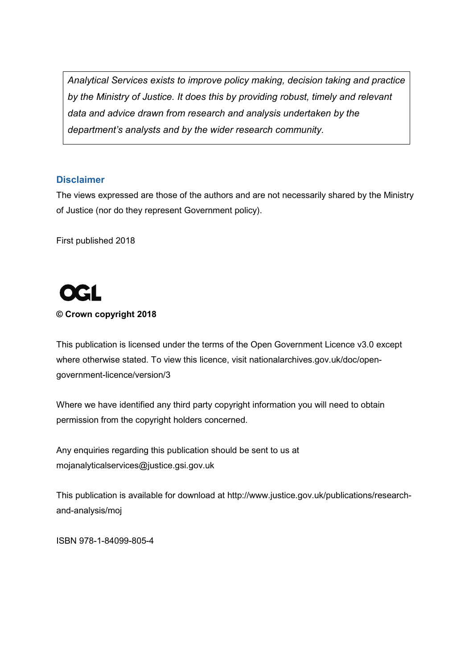*Analytical Services exists to improve policy making, decision taking and practice by the Ministry of Justice. It does this by providing robust, timely and relevant data and advice drawn from research and analysis undertaken by the department's analysts and by the wider research community.*

#### **Disclaimer**

The views expressed are those of the authors and are not necessarily shared by the Ministry of Justice (nor do they represent Government policy).

First published 2018



#### **© Crown copyright 2018**

This publication is licensed under the terms of the Open Government Licence v3.0 except where otherwise stated. To view this licence, visit [nationalarchives.gov.uk/doc/open](http://nationalarchives.gov.uk/doc/open-government-licence/version/3/)[government-licence/version/3](http://nationalarchives.gov.uk/doc/open-government-licence/version/3/)

Where we have identified any third party copyright information you will need to obtain permission from the copyright holders concerned.

Any enquiries regarding this publication should be sent to us at [mojanalyticalservices@justice.gsi.gov.uk](mailto:mojanalyticalservices@justice.gsi.gov.uk)

This publication is available for download at [http://www.justice.gov.uk/publications/research](http://www.justice.gov.uk/publications/research-and-analysis/moj)[and-analysis/moj](http://www.justice.gov.uk/publications/research-and-analysis/moj)

ISBN 978-1-84099-805-4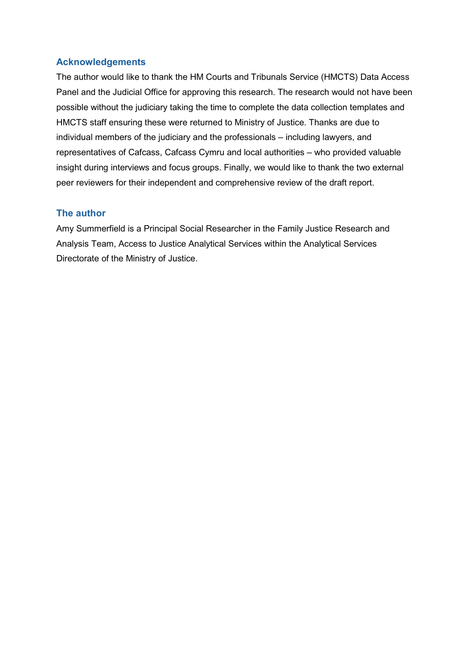#### **Acknowledgements**

The author would like to thank the HM Courts and Tribunals Service (HMCTS) Data Access Panel and the Judicial Office for approving this research. The research would not have been possible without the judiciary taking the time to complete the data collection templates and HMCTS staff ensuring these were returned to Ministry of Justice. Thanks are due to individual members of the judiciary and the professionals – including lawyers, and representatives of Cafcass, Cafcass Cymru and local authorities – who provided valuable insight during interviews and focus groups. Finally, we would like to thank the two external peer reviewers for their independent and comprehensive review of the draft report.

#### **The author**

Amy Summerfield is a Principal Social Researcher in the Family Justice Research and Analysis Team, Access to Justice Analytical Services within the Analytical Services Directorate of the Ministry of Justice.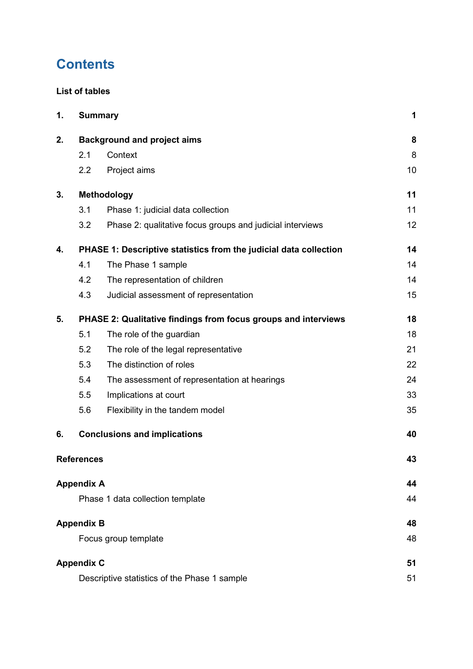# **Contents**

#### **[List of tables](#page-4-0)**

| 1. |                   | <b>Summary</b>                                                    | 1  |
|----|-------------------|-------------------------------------------------------------------|----|
| 2. |                   | <b>Background and project aims</b>                                | 8  |
|    | 2.1               | Context                                                           | 8  |
|    | 2.2               | Project aims                                                      | 10 |
| 3. |                   | <b>Methodology</b>                                                | 11 |
|    | 3.1               | Phase 1: judicial data collection                                 | 11 |
|    | 3.2               | Phase 2: qualitative focus groups and judicial interviews         | 12 |
| 4. |                   | PHASE 1: Descriptive statistics from the judicial data collection | 14 |
|    | 4.1               | The Phase 1 sample                                                | 14 |
|    | 4.2               | The representation of children                                    | 14 |
|    | 4.3               | Judicial assessment of representation                             | 15 |
| 5. |                   | PHASE 2: Qualitative findings from focus groups and interviews    | 18 |
|    | 5.1               | The role of the guardian                                          | 18 |
|    | 5.2               | The role of the legal representative                              | 21 |
|    | 5.3               | The distinction of roles                                          | 22 |
|    | 5.4               | The assessment of representation at hearings                      | 24 |
|    | 5.5               | Implications at court                                             | 33 |
|    | 5.6               | Flexibility in the tandem model                                   | 35 |
| 6. |                   | <b>Conclusions and implications</b>                               | 40 |
|    | <b>References</b> |                                                                   | 43 |
|    | <b>Appendix A</b> |                                                                   | 44 |
|    |                   | Phase 1 data collection template                                  | 44 |
|    | <b>Appendix B</b> |                                                                   | 48 |
|    |                   | Focus group template                                              | 48 |
|    | <b>Appendix C</b> |                                                                   | 51 |
|    |                   | Descriptive statistics of the Phase 1 sample                      | 51 |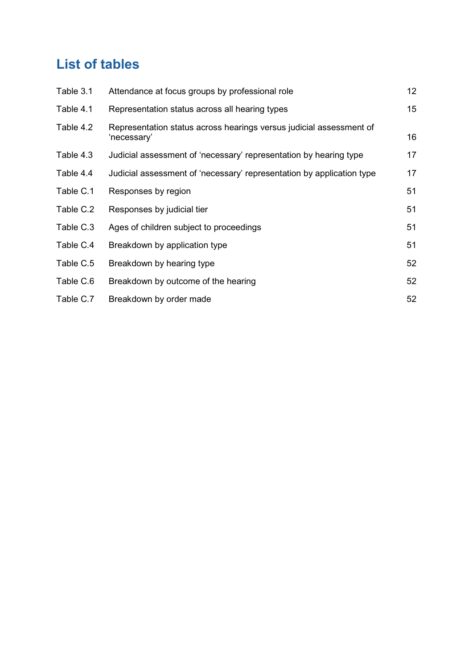# <span id="page-4-0"></span>**List of tables**

| Table 3.1 | Attendance at focus groups by professional role                                    | 12 <sub>2</sub> |
|-----------|------------------------------------------------------------------------------------|-----------------|
| Table 4.1 | Representation status across all hearing types                                     | 15              |
| Table 4.2 | Representation status across hearings versus judicial assessment of<br>'necessary' | 16              |
| Table 4.3 | Judicial assessment of 'necessary' representation by hearing type                  | 17              |
| Table 4.4 | Judicial assessment of 'necessary' representation by application type              | 17              |
| Table C.1 | Responses by region                                                                | 51              |
| Table C.2 | Responses by judicial tier                                                         | 51              |
| Table C.3 | Ages of children subject to proceedings                                            | 51              |
| Table C.4 | Breakdown by application type                                                      | 51              |
| Table C.5 | Breakdown by hearing type                                                          | 52              |
| Table C.6 | Breakdown by outcome of the hearing                                                | 52              |
| Table C.7 | Breakdown by order made                                                            | 52              |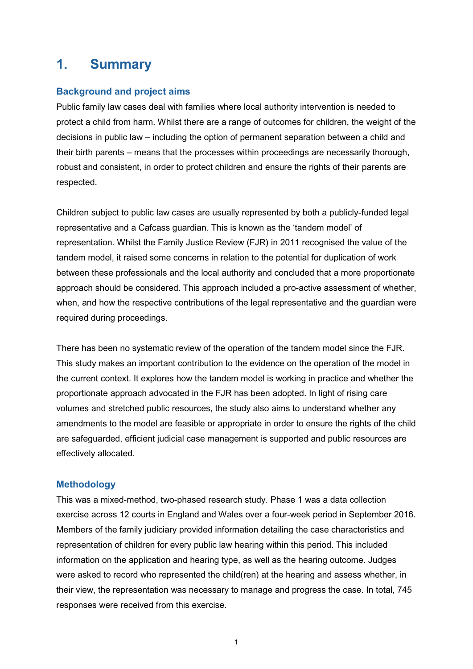## <span id="page-5-0"></span>**1. Summary**

#### **Background and project aims**

Public family law cases deal with families where local authority intervention is needed to protect a child from harm. Whilst there are a range of outcomes for children, the weight of the decisions in public law – including the option of permanent separation between a child and their birth parents – means that the processes within proceedings are necessarily thorough, robust and consistent, in order to protect children and ensure the rights of their parents are respected.

Children subject to public law cases are usually represented by both a publicly-funded legal representative and a Cafcass guardian. This is known as the 'tandem model' of representation. Whilst the Family Justice Review (FJR) in 2011 recognised the value of the tandem model, it raised some concerns in relation to the potential for duplication of work between these professionals and the local authority and concluded that a more proportionate approach should be considered. This approach included a pro-active assessment of whether, when, and how the respective contributions of the legal representative and the guardian were required during proceedings.

There has been no systematic review of the operation of the tandem model since the FJR. This study makes an important contribution to the evidence on the operation of the model in the current context. It explores how the tandem model is working in practice and whether the proportionate approach advocated in the FJR has been adopted. In light of rising care volumes and stretched public resources, the study also aims to understand whether any amendments to the model are feasible or appropriate in order to ensure the rights of the child are safeguarded, efficient judicial case management is supported and public resources are effectively allocated.

#### **Methodology**

This was a mixed-method, two-phased research study. Phase 1 was a data collection exercise across 12 courts in England and Wales over a four-week period in September 2016. Members of the family judiciary provided information detailing the case characteristics and representation of children for every public law hearing within this period. This included information on the application and hearing type, as well as the hearing outcome. Judges were asked to record who represented the child(ren) at the hearing and assess whether, in their view, the representation was necessary to manage and progress the case. In total, 745 responses were received from this exercise.

1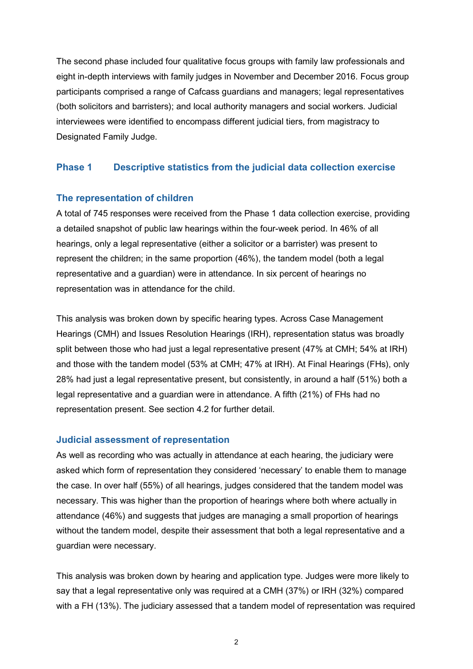The second phase included four qualitative focus groups with family law professionals and eight in-depth interviews with family judges in November and December 2016. Focus group participants comprised a range of Cafcass guardians and managers; legal representatives (both solicitors and barristers); and local authority managers and social workers. Judicial interviewees were identified to encompass different judicial tiers, from magistracy to Designated Family Judge.

#### **Phase 1 Descriptive statistics from the judicial data collection exercise**

#### **The representation of children**

A total of 745 responses were received from the Phase 1 data collection exercise, providing a detailed snapshot of public law hearings within the four-week period. In 46% of all hearings, only a legal representative (either a solicitor or a barrister) was present to represent the children; in the same proportion (46%), the tandem model (both a legal representative and a guardian) were in attendance. In six percent of hearings no representation was in attendance for the child.

This analysis was broken down by specific hearing types. Across Case Management Hearings (CMH) and Issues Resolution Hearings (IRH), representation status was broadly split between those who had just a legal representative present (47% at CMH; 54% at IRH) and those with the tandem model (53% at CMH; 47% at IRH). At Final Hearings (FHs), only 28% had just a legal representative present, but consistently, in around a half (51%) both a legal representative and a guardian were in attendance. A fifth (21%) of FHs had no representation present. See section 4.2 for further detail.

#### **Judicial assessment of representation**

As well as recording who was actually in attendance at each hearing, the judiciary were asked which form of representation they considered 'necessary' to enable them to manage the case. In over half (55%) of all hearings, judges considered that the tandem model was necessary. This was higher than the proportion of hearings where both where actually in attendance (46%) and suggests that judges are managing a small proportion of hearings without the tandem model, despite their assessment that both a legal representative and a guardian were necessary.

This analysis was broken down by hearing and application type. Judges were more likely to say that a legal representative only was required at a CMH (37%) or IRH (32%) compared with a FH (13%). The judiciary assessed that a tandem model of representation was required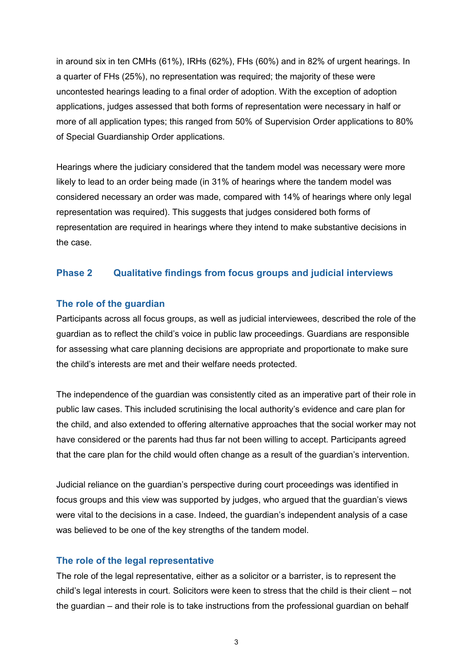in around six in ten CMHs (61%), IRHs (62%), FHs (60%) and in 82% of urgent hearings. In a quarter of FHs (25%), no representation was required; the majority of these were uncontested hearings leading to a final order of adoption. With the exception of adoption applications, judges assessed that both forms of representation were necessary in half or more of all application types; this ranged from 50% of Supervision Order applications to 80% of Special Guardianship Order applications.

Hearings where the judiciary considered that the tandem model was necessary were more likely to lead to an order being made (in 31% of hearings where the tandem model was considered necessary an order was made, compared with 14% of hearings where only legal representation was required). This suggests that judges considered both forms of representation are required in hearings where they intend to make substantive decisions in the case.

#### **Phase 2 Qualitative findings from focus groups and judicial interviews**

#### **The role of the guardian**

Participants across all focus groups, as well as judicial interviewees, described the role of the guardian as to reflect the child's voice in public law proceedings. Guardians are responsible for assessing what care planning decisions are appropriate and proportionate to make sure the child's interests are met and their welfare needs protected.

The independence of the guardian was consistently cited as an imperative part of their role in public law cases. This included scrutinising the local authority's evidence and care plan for the child, and also extended to offering alternative approaches that the social worker may not have considered or the parents had thus far not been willing to accept. Participants agreed that the care plan for the child would often change as a result of the guardian's intervention.

Judicial reliance on the guardian's perspective during court proceedings was identified in focus groups and this view was supported by judges, who argued that the guardian's views were vital to the decisions in a case. Indeed, the guardian's independent analysis of a case was believed to be one of the key strengths of the tandem model.

#### **The role of the legal representative**

The role of the legal representative, either as a solicitor or a barrister, is to represent the child's legal interests in court. Solicitors were keen to stress that the child is their client – not the guardian – and their role is to take instructions from the professional guardian on behalf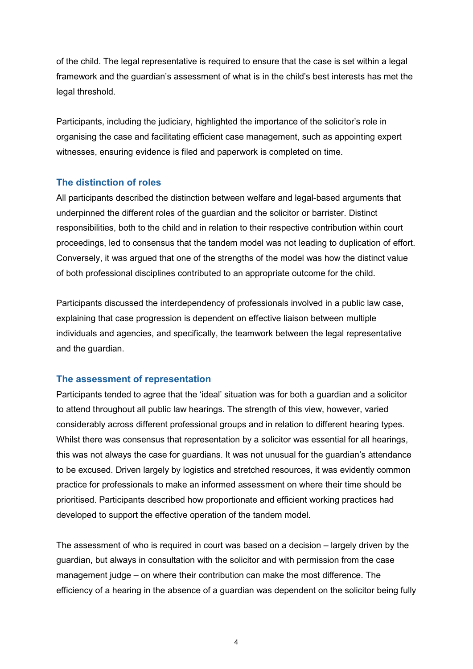of the child. The legal representative is required to ensure that the case is set within a legal framework and the guardian's assessment of what is in the child's best interests has met the legal threshold.

Participants, including the judiciary, highlighted the importance of the solicitor's role in organising the case and facilitating efficient case management, such as appointing expert witnesses, ensuring evidence is filed and paperwork is completed on time.

#### **The distinction of roles**

All participants described the distinction between welfare and legal-based arguments that underpinned the different roles of the guardian and the solicitor or barrister. Distinct responsibilities, both to the child and in relation to their respective contribution within court proceedings, led to consensus that the tandem model was not leading to duplication of effort. Conversely, it was argued that one of the strengths of the model was how the distinct value of both professional disciplines contributed to an appropriate outcome for the child.

Participants discussed the interdependency of professionals involved in a public law case, explaining that case progression is dependent on effective liaison between multiple individuals and agencies, and specifically, the teamwork between the legal representative and the guardian.

#### **The assessment of representation**

Participants tended to agree that the 'ideal' situation was for both a guardian and a solicitor to attend throughout all public law hearings. The strength of this view, however, varied considerably across different professional groups and in relation to different hearing types. Whilst there was consensus that representation by a solicitor was essential for all hearings, this was not always the case for guardians. It was not unusual for the guardian's attendance to be excused. Driven largely by logistics and stretched resources, it was evidently common practice for professionals to make an informed assessment on where their time should be prioritised. Participants described how proportionate and efficient working practices had developed to support the effective operation of the tandem model.

The assessment of who is required in court was based on a decision – largely driven by the guardian, but always in consultation with the solicitor and with permission from the case management judge – on where their contribution can make the most difference. The efficiency of a hearing in the absence of a guardian was dependent on the solicitor being fully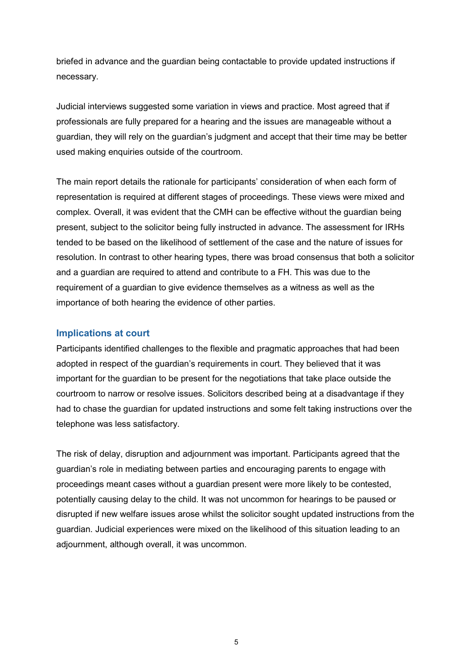briefed in advance and the guardian being contactable to provide updated instructions if necessary.

Judicial interviews suggested some variation in views and practice. Most agreed that if professionals are fully prepared for a hearing and the issues are manageable without a guardian, they will rely on the guardian's judgment and accept that their time may be better used making enquiries outside of the courtroom.

The main report details the rationale for participants' consideration of when each form of representation is required at different stages of proceedings. These views were mixed and complex. Overall, it was evident that the CMH can be effective without the guardian being present, subject to the solicitor being fully instructed in advance. The assessment for IRHs tended to be based on the likelihood of settlement of the case and the nature of issues for resolution. In contrast to other hearing types, there was broad consensus that both a solicitor and a guardian are required to attend and contribute to a FH. This was due to the requirement of a guardian to give evidence themselves as a witness as well as the importance of both hearing the evidence of other parties.

#### **Implications at court**

Participants identified challenges to the flexible and pragmatic approaches that had been adopted in respect of the guardian's requirements in court. They believed that it was important for the guardian to be present for the negotiations that take place outside the courtroom to narrow or resolve issues. Solicitors described being at a disadvantage if they had to chase the guardian for updated instructions and some felt taking instructions over the telephone was less satisfactory.

The risk of delay, disruption and adjournment was important. Participants agreed that the guardian's role in mediating between parties and encouraging parents to engage with proceedings meant cases without a guardian present were more likely to be contested, potentially causing delay to the child. It was not uncommon for hearings to be paused or disrupted if new welfare issues arose whilst the solicitor sought updated instructions from the guardian. Judicial experiences were mixed on the likelihood of this situation leading to an adjournment, although overall, it was uncommon.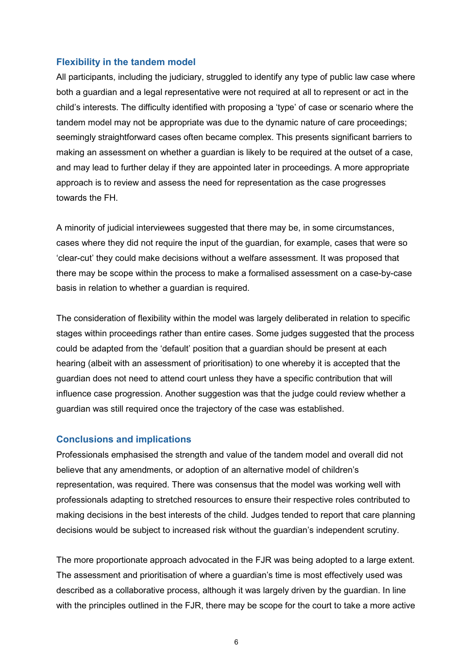#### **Flexibility in the tandem model**

All participants, including the judiciary, struggled to identify any type of public law case where both a guardian and a legal representative were not required at all to represent or act in the child's interests. The difficulty identified with proposing a 'type' of case or scenario where the tandem model may not be appropriate was due to the dynamic nature of care proceedings; seemingly straightforward cases often became complex. This presents significant barriers to making an assessment on whether a guardian is likely to be required at the outset of a case, and may lead to further delay if they are appointed later in proceedings. A more appropriate approach is to review and assess the need for representation as the case progresses towards the FH.

A minority of judicial interviewees suggested that there may be, in some circumstances, cases where they did not require the input of the guardian, for example, cases that were so 'clear-cut' they could make decisions without a welfare assessment. It was proposed that there may be scope within the process to make a formalised assessment on a case-by-case basis in relation to whether a guardian is required.

The consideration of flexibility within the model was largely deliberated in relation to specific stages within proceedings rather than entire cases. Some judges suggested that the process could be adapted from the 'default' position that a guardian should be present at each hearing (albeit with an assessment of prioritisation) to one whereby it is accepted that the guardian does not need to attend court unless they have a specific contribution that will influence case progression. Another suggestion was that the judge could review whether a guardian was still required once the trajectory of the case was established.

#### **Conclusions and implications**

Professionals emphasised the strength and value of the tandem model and overall did not believe that any amendments, or adoption of an alternative model of children's representation, was required. There was consensus that the model was working well with professionals adapting to stretched resources to ensure their respective roles contributed to making decisions in the best interests of the child. Judges tended to report that care planning decisions would be subject to increased risk without the guardian's independent scrutiny.

The more proportionate approach advocated in the FJR was being adopted to a large extent. The assessment and prioritisation of where a guardian's time is most effectively used was described as a collaborative process, although it was largely driven by the guardian. In line with the principles outlined in the FJR, there may be scope for the court to take a more active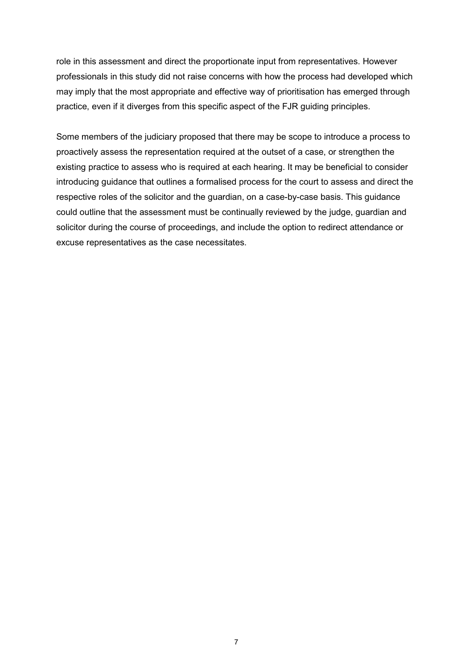role in this assessment and direct the proportionate input from representatives. However professionals in this study did not raise concerns with how the process had developed which may imply that the most appropriate and effective way of prioritisation has emerged through practice, even if it diverges from this specific aspect of the FJR guiding principles.

Some members of the judiciary proposed that there may be scope to introduce a process to proactively assess the representation required at the outset of a case, or strengthen the existing practice to assess who is required at each hearing. It may be beneficial to consider introducing guidance that outlines a formalised process for the court to assess and direct the respective roles of the solicitor and the guardian, on a case-by-case basis. This guidance could outline that the assessment must be continually reviewed by the judge, guardian and solicitor during the course of proceedings, and include the option to redirect attendance or excuse representatives as the case necessitates.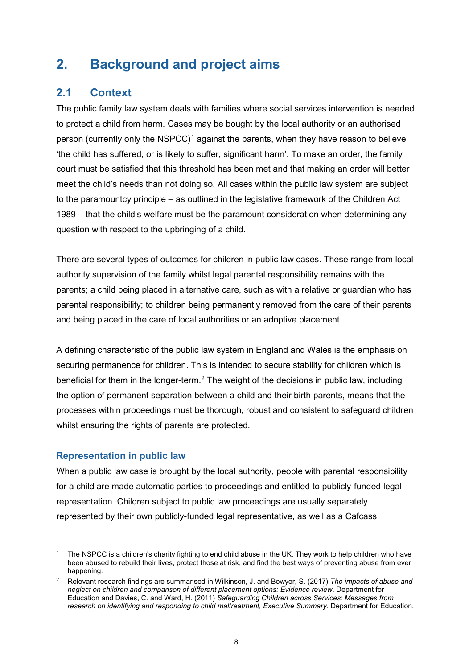# <span id="page-12-0"></span>**2. Background and project aims**

## <span id="page-12-1"></span>**2.1 Context**

The public family law system deals with families where social services intervention is needed to protect a child from harm. Cases may be bought by the local authority or an authorised person (currently only the  $NSPCC$ )<sup>[1](#page-12-2)</sup> against the parents, when they have reason to believe 'the child has suffered, or is likely to suffer, significant harm'. To make an order, the family court must be satisfied that this threshold has been met and that making an order will better meet the child's needs than not doing so. All cases within the public law system are subject to the paramountcy principle – as outlined in the legislative framework of the Children Act 1989 – that the child's welfare must be the paramount consideration when determining any question with respect to the upbringing of a child.

There are several types of outcomes for children in public law cases. These range from local authority supervision of the family whilst legal parental responsibility remains with the parents; a child being placed in alternative care, such as with a relative or guardian who has parental responsibility; to children being permanently removed from the care of their parents and being placed in the care of local authorities or an adoptive placement.

A defining characteristic of the public law system in England and Wales is the emphasis on securing permanence for children. This is intended to secure stability for children which is beneficial for them in the longer-term.<sup>[2](#page-12-3)</sup> The weight of the decisions in public law, including the option of permanent separation between a child and their birth parents, means that the processes within proceedings must be thorough, robust and consistent to safeguard children whilst ensuring the rights of parents are protected.

#### **Representation in public law**

 $\overline{a}$ 

When a public law case is brought by the local authority, people with parental responsibility for a child are made automatic parties to proceedings and entitled to publicly-funded legal representation. Children subject to public law proceedings are usually separately represented by their own publicly-funded legal representative, as well as a Cafcass

<span id="page-12-2"></span><sup>&</sup>lt;sup>1</sup> The NSPCC is a children's charity fighting to end child abuse in the UK. They work to help children who have been abused to rebuild their lives, protect those at risk, and find the best ways of preventing abuse from ever happening.

<span id="page-12-3"></span><sup>2</sup> Relevant research findings are summarised in Wilkinson, J. and Bowyer, S. (2017) *The impacts of abuse and neglect on children and comparison of different placement options: Evidence review*. Department for Education and Davies, C. and Ward, H. (2011) *Safeguarding Children across Services: Messages from research on identifying and responding to child maltreatment, Executive Summary*. Department for Education.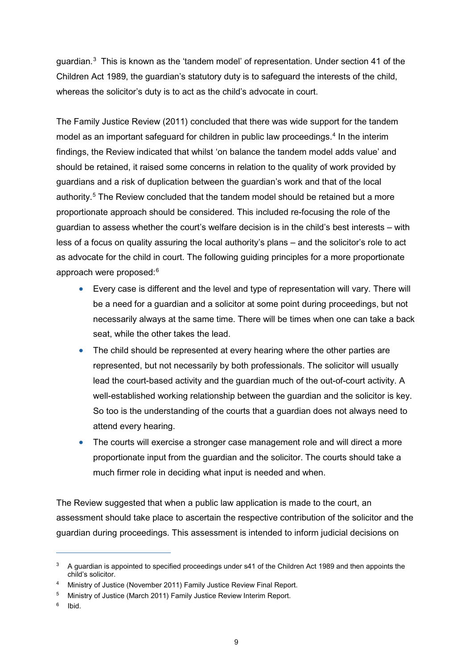guardian.<sup>[3](#page-13-0)</sup> This is known as the 'tandem model' of representation. Under section 41 of the Children Act 1989, the guardian's statutory duty is to safeguard the interests of the child, whereas the solicitor's duty is to act as the child's advocate in court.

The Family Justice Review (2011) concluded that there was wide support for the tandem model as an important safeguard for children in public law proceedings. [4](#page-13-1) In the interim findings, the Review indicated that whilst 'on balance the tandem model adds value' and should be retained, it raised some concerns in relation to the quality of work provided by guardians and a risk of duplication between the guardian's work and that of the local authority.<sup>[5](#page-13-2)</sup> The Review concluded that the tandem model should be retained but a more proportionate approach should be considered. This included re-focusing the role of the guardian to assess whether the court's welfare decision is in the child's best interests – with less of a focus on quality assuring the local authority's plans – and the solicitor's role to act as advocate for the child in court. The following guiding principles for a more proportionate approach were proposed:[6](#page-13-3)

- Every case is different and the level and type of representation will vary. There will be a need for a guardian and a solicitor at some point during proceedings, but not necessarily always at the same time. There will be times when one can take a back seat, while the other takes the lead.
- The child should be represented at every hearing where the other parties are represented, but not necessarily by both professionals. The solicitor will usually lead the court-based activity and the guardian much of the out-of-court activity. A well-established working relationship between the guardian and the solicitor is key. So too is the understanding of the courts that a guardian does not always need to attend every hearing.
- The courts will exercise a stronger case management role and will direct a more proportionate input from the guardian and the solicitor. The courts should take a much firmer role in deciding what input is needed and when.

The Review suggested that when a public law application is made to the court, an assessment should take place to ascertain the respective contribution of the solicitor and the guardian during proceedings. This assessment is intended to inform judicial decisions on

 $\overline{a}$ 

<span id="page-13-0"></span><sup>&</sup>lt;sup>3</sup> A guardian is appointed to specified proceedings under s41 of the Children Act 1989 and then appoints the child's solicitor.

Ministry of Justice (November 2011) Family Justice Review Final Report.

<span id="page-13-2"></span><span id="page-13-1"></span><sup>&</sup>lt;sup>5</sup> Ministry of Justice (March 2011) Family Justice Review Interim Report.

<span id="page-13-3"></span> $6$  Ibid.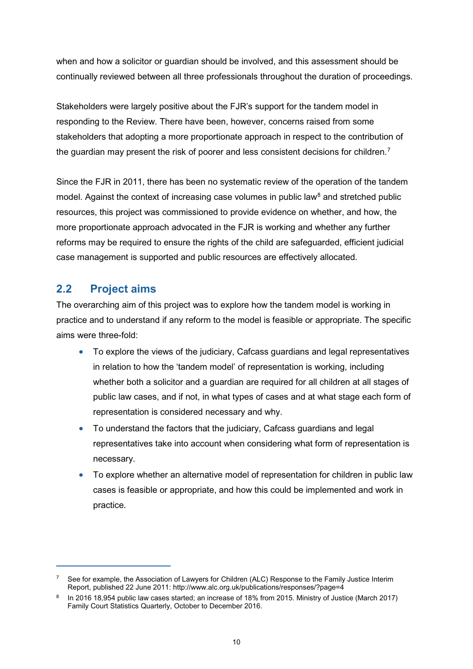when and how a solicitor or guardian should be involved, and this assessment should be continually reviewed between all three professionals throughout the duration of proceedings.

Stakeholders were largely positive about the FJR's support for the tandem model in responding to the Review. There have been, however, concerns raised from some stakeholders that adopting a more proportionate approach in respect to the contribution of the guardian may present the risk of poorer and less consistent decisions for children.<sup>[7](#page-14-1)</sup>

Since the FJR in 2011, there has been no systematic review of the operation of the tandem model. Against the context of increasing case volumes in public law<sup>[8](#page-14-2)</sup> and stretched public resources, this project was commissioned to provide evidence on whether, and how, the more proportionate approach advocated in the FJR is working and whether any further reforms may be required to ensure the rights of the child are safeguarded, efficient judicial case management is supported and public resources are effectively allocated.

## <span id="page-14-0"></span>**2.2 Project aims**

 $\overline{a}$ 

The overarching aim of this project was to explore how the tandem model is working in practice and to understand if any reform to the model is feasible or appropriate. The specific aims were three-fold:

- To explore the views of the judiciary, Cafcass guardians and legal representatives in relation to how the 'tandem model' of representation is working, including whether both a solicitor and a guardian are required for all children at all stages of public law cases, and if not, in what types of cases and at what stage each form of representation is considered necessary and why.
- To understand the factors that the judiciary, Cafcass quardians and legal representatives take into account when considering what form of representation is necessary.
- To explore whether an alternative model of representation for children in public law cases is feasible or appropriate, and how this could be implemented and work in practice.

<span id="page-14-1"></span>See for example, the Association of Lawyers for Children (ALC) Response to the Family Justice Interim Report, published 22 June 2011: http://www.alc.org.uk/publications/responses/?page=4

<span id="page-14-2"></span><sup>8</sup> In 2016 18,954 public law cases started; an increase of 18% from 2015. Ministry of Justice (March 2017) Family Court Statistics Quarterly, October to December 2016.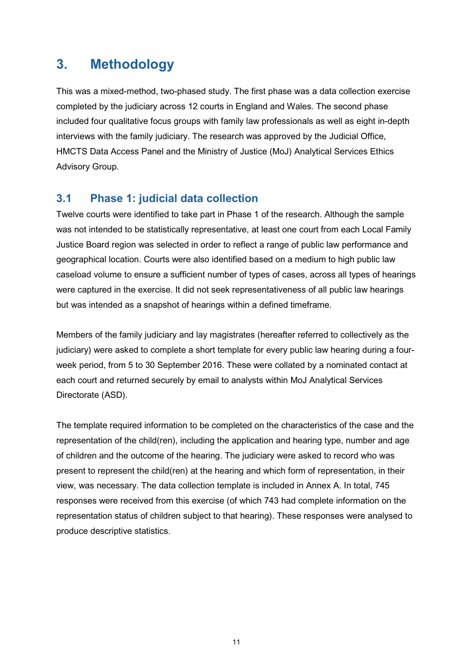## <span id="page-15-0"></span>**3. Methodology**

This was a mixed-method, two-phased study. The first phase was a data collection exercise completed by the judiciary across 12 courts in England and Wales. The second phase included four qualitative focus groups with family law professionals as well as eight in-depth interviews with the family judiciary. The research was approved by the Judicial Office, HMCTS Data Access Panel and the Ministry of Justice (MoJ) Analytical Services Ethics Advisory Group.

## <span id="page-15-1"></span>**3.1 Phase 1: judicial data collection**

Twelve courts were identified to take part in Phase 1 of the research. Although the sample was not intended to be statistically representative, at least one court from each Local Family Justice Board region was selected in order to reflect a range of public law performance and geographical location. Courts were also identified based on a medium to high public law caseload volume to ensure a sufficient number of types of cases, across all types of hearings were captured in the exercise. It did not seek representativeness of all public law hearings but was intended as a snapshot of hearings within a defined timeframe.

Members of the family judiciary and lay magistrates (hereafter referred to collectively as the judiciary) were asked to complete a short template for every public law hearing during a fourweek period, from 5 to 30 September 2016. These were collated by a nominated contact at each court and returned securely by email to analysts within MoJ Analytical Services Directorate (ASD).

The template required information to be completed on the characteristics of the case and the representation of the child(ren), including the application and hearing type, number and age of children and the outcome of the hearing. The judiciary were asked to record who was present to represent the child(ren) at the hearing and which form of representation, in their view, was necessary. The data collection template is included in Annex A. In total, 745 responses were received from this exercise (of which 743 had complete information on the representation status of children subject to that hearing). These responses were analysed to produce descriptive statistics.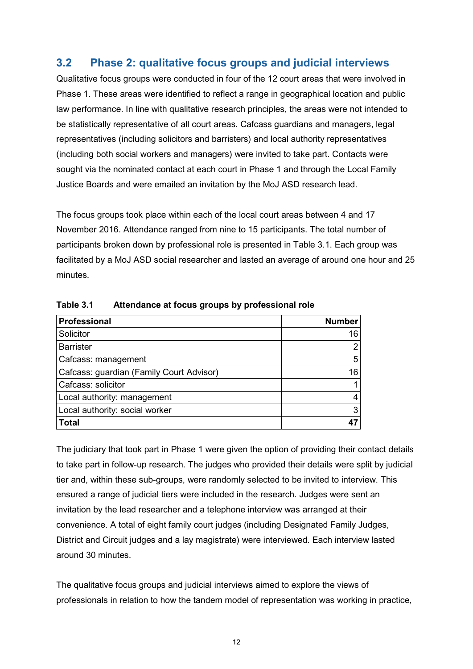## <span id="page-16-0"></span>**3.2 Phase 2: qualitative focus groups and judicial interviews**

Qualitative focus groups were conducted in four of the 12 court areas that were involved in Phase 1. These areas were identified to reflect a range in geographical location and public law performance. In line with qualitative research principles, the areas were not intended to be statistically representative of all court areas. Cafcass guardians and managers, legal representatives (including solicitors and barristers) and local authority representatives (including both social workers and managers) were invited to take part. Contacts were sought via the nominated contact at each court in Phase 1 and through the Local Family Justice Boards and were emailed an invitation by the MoJ ASD research lead.

The focus groups took place within each of the local court areas between 4 and 17 November 2016. Attendance ranged from nine to 15 participants. The total number of participants broken down by professional role is presented in Table 3.1. Each group was facilitated by a MoJ ASD social researcher and lasted an average of around one hour and 25 minutes.

| <b>Professional</b>                      | <b>Number</b> |
|------------------------------------------|---------------|
| Solicitor                                | 16            |
| <b>Barrister</b>                         | Ω             |
| Cafcass: management                      | 5             |
| Cafcass: guardian (Family Court Advisor) | 16            |
| Cafcass: solicitor                       |               |
| Local authority: management              |               |
| Local authority: social worker           | 3             |
| <b>Total</b>                             |               |

<span id="page-16-1"></span>**Table 3.1 Attendance at focus groups by professional role**

The judiciary that took part in Phase 1 were given the option of providing their contact details to take part in follow-up research. The judges who provided their details were split by judicial tier and, within these sub-groups, were randomly selected to be invited to interview. This ensured a range of judicial tiers were included in the research. Judges were sent an invitation by the lead researcher and a telephone interview was arranged at their convenience. A total of eight family court judges (including Designated Family Judges, District and Circuit judges and a lay magistrate) were interviewed. Each interview lasted around 30 minutes.

The qualitative focus groups and judicial interviews aimed to explore the views of professionals in relation to how the tandem model of representation was working in practice,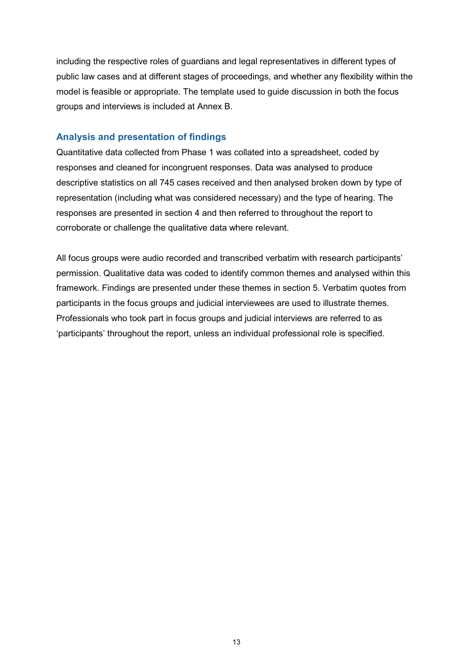including the respective roles of guardians and legal representatives in different types of public law cases and at different stages of proceedings, and whether any flexibility within the model is feasible or appropriate. The template used to guide discussion in both the focus groups and interviews is included at Annex B.

#### **Analysis and presentation of findings**

Quantitative data collected from Phase 1 was collated into a spreadsheet, coded by responses and cleaned for incongruent responses. Data was analysed to produce descriptive statistics on all 745 cases received and then analysed broken down by type of representation (including what was considered necessary) and the type of hearing. The responses are presented in section 4 and then referred to throughout the report to corroborate or challenge the qualitative data where relevant.

All focus groups were audio recorded and transcribed verbatim with research participants' permission. Qualitative data was coded to identify common themes and analysed within this framework. Findings are presented under these themes in section 5. Verbatim quotes from participants in the focus groups and judicial interviewees are used to illustrate themes. Professionals who took part in focus groups and judicial interviews are referred to as 'participants' throughout the report, unless an individual professional role is specified.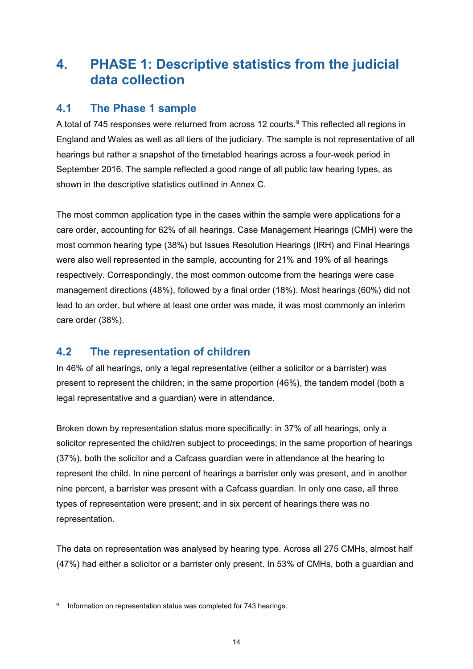## <span id="page-18-0"></span>**4. PHASE 1: Descriptive statistics from the judicial data collection**

## <span id="page-18-1"></span>**4.1 The Phase 1 sample**

A total of 745 responses were returned from across 12 courts.<sup>[9](#page-18-3)</sup> This reflected all regions in England and Wales as well as all tiers of the judiciary. The sample is not representative of all hearings but rather a snapshot of the timetabled hearings across a four-week period in September 2016. The sample reflected a good range of all public law hearing types, as shown in the descriptive statistics outlined in Annex C.

The most common application type in the cases within the sample were applications for a care order, accounting for 62% of all hearings. Case Management Hearings (CMH) were the most common hearing type (38%) but Issues Resolution Hearings (IRH) and Final Hearings were also well represented in the sample, accounting for 21% and 19% of all hearings respectively. Correspondingly, the most common outcome from the hearings were case management directions (48%), followed by a final order (18%). Most hearings (60%) did not lead to an order, but where at least one order was made, it was most commonly an interim care order (38%).

## <span id="page-18-2"></span>**4.2 The representation of children**

In 46% of all hearings, only a legal representative (either a solicitor or a barrister) was present to represent the children; in the same proportion (46%), the tandem model (both a legal representative and a guardian) were in attendance.

Broken down by representation status more specifically: in 37% of all hearings, only a solicitor represented the child/ren subject to proceedings; in the same proportion of hearings (37%), both the solicitor and a Cafcass guardian were in attendance at the hearing to represent the child. In nine percent of hearings a barrister only was present, and in another nine percent, a barrister was present with a Cafcass guardian. In only one case, all three types of representation were present; and in six percent of hearings there was no representation.

The data on representation was analysed by hearing type. Across all 275 CMHs, almost half (47%) had either a solicitor or a barrister only present. In 53% of CMHs, both a guardian and

 $\overline{a}$ 

<span id="page-18-3"></span>Information on representation status was completed for 743 hearings.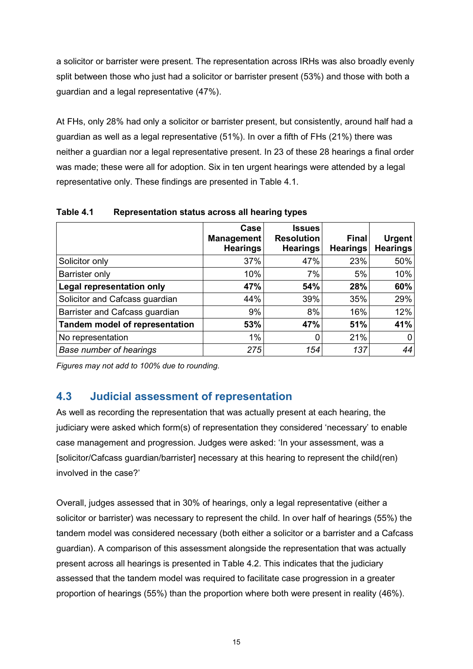a solicitor or barrister were present. The representation across IRHs was also broadly evenly split between those who just had a solicitor or barrister present (53%) and those with both a guardian and a legal representative (47%).

At FHs, only 28% had only a solicitor or barrister present, but consistently, around half had a guardian as well as a legal representative (51%). In over a fifth of FHs (21%) there was neither a guardian nor a legal representative present. In 23 of these 28 hearings a final order was made; these were all for adoption. Six in ten urgent hearings were attended by a legal representative only. These findings are presented in Table 4.1.

|                                       | Case<br>Management<br><b>Hearings</b> | <b>Issues</b><br><b>Resolution</b><br><b>Hearings</b> | <b>Final</b><br><b>Hearings</b> | <b>Urgent</b><br><b>Hearings</b> |
|---------------------------------------|---------------------------------------|-------------------------------------------------------|---------------------------------|----------------------------------|
| Solicitor only                        | 37%                                   | 47%                                                   | 23%                             | 50%                              |
| Barrister only                        | 10%                                   | 7%                                                    | 5%                              | 10%                              |
| <b>Legal representation only</b>      | 47%                                   | 54%                                                   | 28%                             | 60%                              |
| Solicitor and Cafcass guardian        | 44%                                   | 39%                                                   | 35%                             | 29%                              |
| Barrister and Cafcass guardian        | 9%                                    | 8%                                                    | 16%                             | 12%                              |
| <b>Tandem model of representation</b> | 53%                                   | 47%                                                   | 51%                             | 41%                              |
| No representation                     | 1%                                    | 0                                                     | 21%                             |                                  |
| <b>Base number of hearings</b>        | 275                                   | 154                                                   | 137                             | 44                               |

<span id="page-19-1"></span>**Table 4.1 Representation status across all hearing types**

*Figures may not add to 100% due to rounding.*

## <span id="page-19-0"></span>**4.3 Judicial assessment of representation**

As well as recording the representation that was actually present at each hearing, the judiciary were asked which form(s) of representation they considered 'necessary' to enable case management and progression. Judges were asked: 'In your assessment, was a [solicitor/Cafcass guardian/barrister] necessary at this hearing to represent the child(ren) involved in the case?'

Overall, judges assessed that in 30% of hearings, only a legal representative (either a solicitor or barrister) was necessary to represent the child. In over half of hearings (55%) the tandem model was considered necessary (both either a solicitor or a barrister and a Cafcass guardian). A comparison of this assessment alongside the representation that was actually present across all hearings is presented in Table 4.2. This indicates that the judiciary assessed that the tandem model was required to facilitate case progression in a greater proportion of hearings (55%) than the proportion where both were present in reality (46%).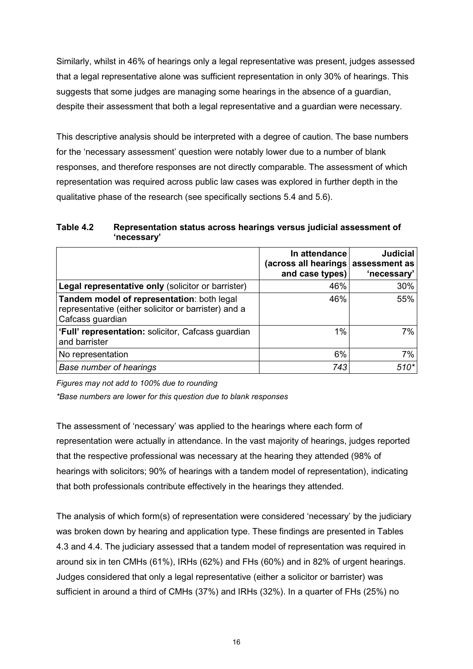Similarly, whilst in 46% of hearings only a legal representative was present, judges assessed that a legal representative alone was sufficient representation in only 30% of hearings. This suggests that some judges are managing some hearings in the absence of a guardian, despite their assessment that both a legal representative and a guardian were necessary.

This descriptive analysis should be interpreted with a degree of caution. The base numbers for the 'necessary assessment' question were notably lower due to a number of blank responses, and therefore responses are not directly comparable. The assessment of which representation was required across public law cases was explored in further depth in the qualitative phase of the research (see specifically sections 5.4 and 5.6).

<span id="page-20-0"></span>**Table 4.2 Representation status across hearings versus judicial assessment of 'necessary'**

|                                                                                                                        | In attendance<br>(across all hearings assessment as<br>and case types) | <b>Judicial</b><br>'necessary' |
|------------------------------------------------------------------------------------------------------------------------|------------------------------------------------------------------------|--------------------------------|
| Legal representative only (solicitor or barrister)                                                                     | 46%                                                                    | $30\%$                         |
| Tandem model of representation: both legal<br>representative (either solicitor or barrister) and a<br>Cafcass guardian | 46%                                                                    | 55%                            |
| 'Full' representation: solicitor, Cafcass guardian<br>and barrister                                                    | 1%                                                                     | 7%                             |
| No representation                                                                                                      | 6%                                                                     | 7%                             |
| <b>Base number of hearings</b>                                                                                         | 743                                                                    | $510*$                         |

*Figures may not add to 100% due to rounding*

*\*Base numbers are lower for this question due to blank responses*

The assessment of 'necessary' was applied to the hearings where each form of representation were actually in attendance. In the vast majority of hearings, judges reported that the respective professional was necessary at the hearing they attended (98% of hearings with solicitors; 90% of hearings with a tandem model of representation), indicating that both professionals contribute effectively in the hearings they attended.

The analysis of which form(s) of representation were considered 'necessary' by the judiciary was broken down by hearing and application type. These findings are presented in Tables 4.3 and 4.4. The judiciary assessed that a tandem model of representation was required in around six in ten CMHs (61%), IRHs (62%) and FHs (60%) and in 82% of urgent hearings. Judges considered that only a legal representative (either a solicitor or barrister) was sufficient in around a third of CMHs (37%) and IRHs (32%). In a quarter of FHs (25%) no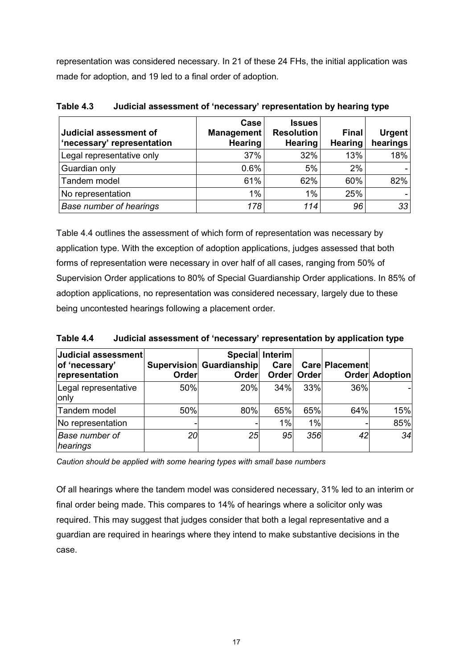representation was considered necessary. In 21 of these 24 FHs, the initial application was made for adoption, and 19 led to a final order of adoption.

| Judicial assessment of<br>'necessary' representation | Case<br>Management<br><b>Hearing</b> | <b>Issues</b><br><b>Resolution</b><br><b>Hearing</b> | <b>Final</b><br><b>Hearing</b> | $U$ rgent<br>hearings |
|------------------------------------------------------|--------------------------------------|------------------------------------------------------|--------------------------------|-----------------------|
| Legal representative only                            | 37%                                  | 32%                                                  | 13%                            | 18%                   |
| Guardian only                                        | 0.6%                                 | 5%                                                   | 2%                             |                       |
| Tandem model                                         | 61%                                  | 62%                                                  | 60%                            | 82%                   |
| No representation                                    | 1%                                   | 1%                                                   | 25%                            |                       |
| <b>Base number of hearings</b>                       | 178                                  | 114                                                  | 96                             | 33                    |

<span id="page-21-0"></span>**Table 4.3 Judicial assessment of 'necessary' representation by hearing type**

Table 4.4 outlines the assessment of which form of representation was necessary by application type. With the exception of adoption applications, judges assessed that both forms of representation were necessary in over half of all cases, ranging from 50% of Supervision Order applications to 80% of Special Guardianship Order applications. In 85% of adoption applications, no representation was considered necessary, largely due to these being uncontested hearings following a placement order.

<span id="page-21-1"></span>**Table 4.4 Judicial assessment of 'necessary' representation by application type**

| Judicial assessment<br>of 'necessary'<br>representation | <b>Order</b> | <b>Supervision Guardianship</b><br>Order | Special Interim<br>Carel<br>Order | Order | Care Placement | <b>Order Adoption</b> |
|---------------------------------------------------------|--------------|------------------------------------------|-----------------------------------|-------|----------------|-----------------------|
| Legal representative<br>only                            | 50%          | 20%                                      | 34%                               | 33%   | 36%            |                       |
| Tandem model                                            | 50%          | 80%                                      | 65%                               | 65%   | 64%            | 15%                   |
| No representation                                       |              |                                          | $1\%$                             | 1%    |                | 85%                   |
| <b>Base number of</b><br>hearings                       | 20           | 25                                       | 95                                | 356   | 42             | 34                    |

*Caution should be applied with some hearing types with small base numbers*

Of all hearings where the tandem model was considered necessary, 31% led to an interim or final order being made. This compares to 14% of hearings where a solicitor only was required. This may suggest that judges consider that both a legal representative and a guardian are required in hearings where they intend to make substantive decisions in the case.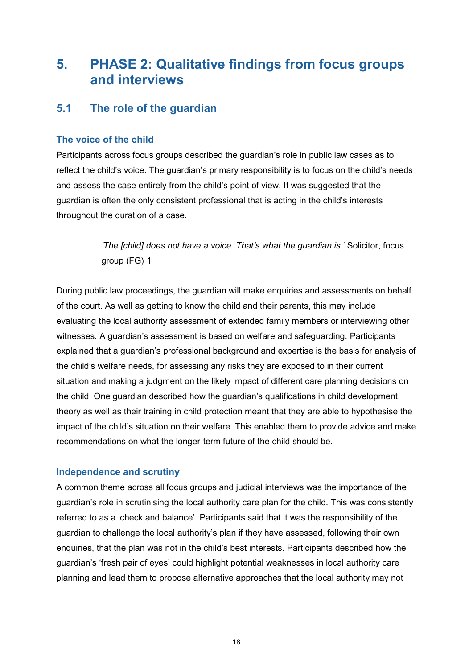## <span id="page-22-0"></span>**5. PHASE 2: Qualitative findings from focus groups and interviews**

## <span id="page-22-1"></span>**5.1 The role of the guardian**

#### **The voice of the child**

Participants across focus groups described the guardian's role in public law cases as to reflect the child's voice. The guardian's primary responsibility is to focus on the child's needs and assess the case entirely from the child's point of view. It was suggested that the guardian is often the only consistent professional that is acting in the child's interests throughout the duration of a case.

> *'The [child] does not have a voice. That's what the guardian is.'* Solicitor, focus group (FG) 1

During public law proceedings, the guardian will make enquiries and assessments on behalf of the court. As well as getting to know the child and their parents, this may include evaluating the local authority assessment of extended family members or interviewing other witnesses. A guardian's assessment is based on welfare and safeguarding. Participants explained that a guardian's professional background and expertise is the basis for analysis of the child's welfare needs, for assessing any risks they are exposed to in their current situation and making a judgment on the likely impact of different care planning decisions on the child. One guardian described how the guardian's qualifications in child development theory as well as their training in child protection meant that they are able to hypothesise the impact of the child's situation on their welfare. This enabled them to provide advice and make recommendations on what the longer-term future of the child should be.

#### **Independence and scrutiny**

A common theme across all focus groups and judicial interviews was the importance of the guardian's role in scrutinising the local authority care plan for the child. This was consistently referred to as a 'check and balance'. Participants said that it was the responsibility of the guardian to challenge the local authority's plan if they have assessed, following their own enquiries, that the plan was not in the child's best interests. Participants described how the guardian's 'fresh pair of eyes' could highlight potential weaknesses in local authority care planning and lead them to propose alternative approaches that the local authority may not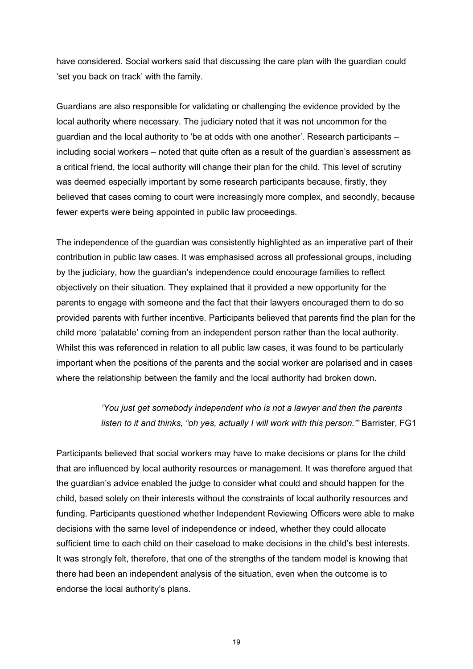have considered. Social workers said that discussing the care plan with the guardian could 'set you back on track' with the family.

Guardians are also responsible for validating or challenging the evidence provided by the local authority where necessary. The judiciary noted that it was not uncommon for the guardian and the local authority to 'be at odds with one another'. Research participants – including social workers – noted that quite often as a result of the guardian's assessment as a critical friend, the local authority will change their plan for the child. This level of scrutiny was deemed especially important by some research participants because, firstly, they believed that cases coming to court were increasingly more complex, and secondly, because fewer experts were being appointed in public law proceedings.

The independence of the guardian was consistently highlighted as an imperative part of their contribution in public law cases. It was emphasised across all professional groups, including by the judiciary, how the guardian's independence could encourage families to reflect objectively on their situation. They explained that it provided a new opportunity for the parents to engage with someone and the fact that their lawyers encouraged them to do so provided parents with further incentive. Participants believed that parents find the plan for the child more 'palatable' coming from an independent person rather than the local authority. Whilst this was referenced in relation to all public law cases, it was found to be particularly important when the positions of the parents and the social worker are polarised and in cases where the relationship between the family and the local authority had broken down.

## *'You just get somebody independent who is not a lawyer and then the parents listen to it and thinks, "oh yes, actually I will work with this person."'* Barrister, FG1

Participants believed that social workers may have to make decisions or plans for the child that are influenced by local authority resources or management. It was therefore argued that the guardian's advice enabled the judge to consider what could and should happen for the child, based solely on their interests without the constraints of local authority resources and funding. Participants questioned whether Independent Reviewing Officers were able to make decisions with the same level of independence or indeed, whether they could allocate sufficient time to each child on their caseload to make decisions in the child's best interests. It was strongly felt, therefore, that one of the strengths of the tandem model is knowing that there had been an independent analysis of the situation, even when the outcome is to endorse the local authority's plans.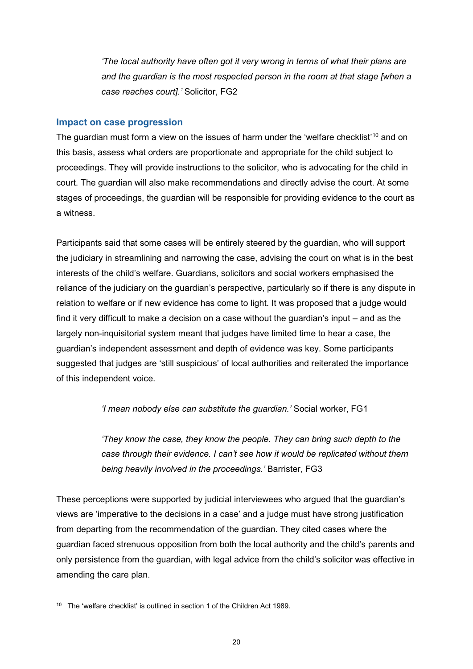*'The local authority have often got it very wrong in terms of what their plans are and the guardian is the most respected person in the room at that stage [when a case reaches court].'* Solicitor, FG2

#### **Impact on case progression**

The quardian must form a view on the issues of harm under the 'welfare checklist'<sup>[10](#page-24-0)</sup> and on this basis, assess what orders are proportionate and appropriate for the child subject to proceedings. They will provide instructions to the solicitor, who is advocating for the child in court. The guardian will also make recommendations and directly advise the court. At some stages of proceedings, the guardian will be responsible for providing evidence to the court as a witness.

Participants said that some cases will be entirely steered by the guardian, who will support the judiciary in streamlining and narrowing the case, advising the court on what is in the best interests of the child's welfare. Guardians, solicitors and social workers emphasised the reliance of the judiciary on the guardian's perspective, particularly so if there is any dispute in relation to welfare or if new evidence has come to light. It was proposed that a judge would find it very difficult to make a decision on a case without the guardian's input – and as the largely non-inquisitorial system meant that judges have limited time to hear a case, the guardian's independent assessment and depth of evidence was key. Some participants suggested that judges are 'still suspicious' of local authorities and reiterated the importance of this independent voice.

*'I mean nobody else can substitute the guardian.'* Social worker, FG1

*'They know the case, they know the people. They can bring such depth to the case through their evidence. I can't see how it would be replicated without them being heavily involved in the proceedings.'* Barrister, FG3

These perceptions were supported by judicial interviewees who argued that the guardian's views are 'imperative to the decisions in a case' and a judge must have strong justification from departing from the recommendation of the guardian. They cited cases where the guardian faced strenuous opposition from both the local authority and the child's parents and only persistence from the guardian, with legal advice from the child's solicitor was effective in amending the care plan.

 $\overline{a}$ 

<span id="page-24-0"></span><sup>&</sup>lt;sup>10</sup> The 'welfare checklist' is outlined in section 1 of the Children Act 1989.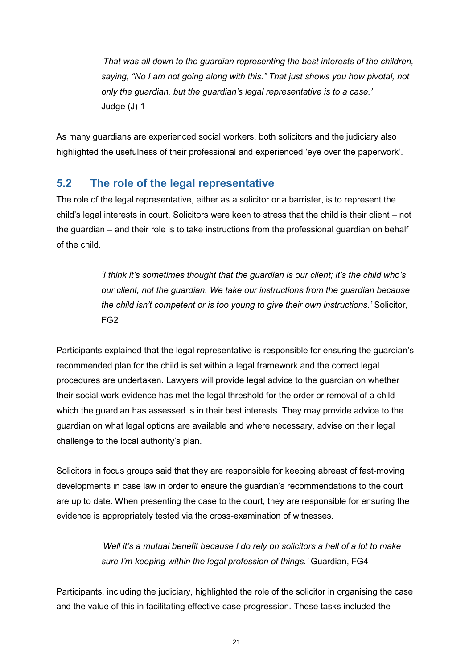*'That was all down to the guardian representing the best interests of the children, saying, "No I am not going along with this." That just shows you how pivotal, not only the guardian, but the guardian's legal representative is to a case.'* Judge (J) 1

As many guardians are experienced social workers, both solicitors and the judiciary also highlighted the usefulness of their professional and experienced 'eye over the paperwork'.

## <span id="page-25-0"></span>**5.2 The role of the legal representative**

The role of the legal representative, either as a solicitor or a barrister, is to represent the child's legal interests in court. Solicitors were keen to stress that the child is their client – not the guardian – and their role is to take instructions from the professional guardian on behalf of the child.

> *'I think it's sometimes thought that the guardian is our client; it's the child who's our client, not the guardian. We take our instructions from the guardian because the child isn't competent or is too young to give their own instructions.'* Solicitor, FG2

Participants explained that the legal representative is responsible for ensuring the guardian's recommended plan for the child is set within a legal framework and the correct legal procedures are undertaken. Lawyers will provide legal advice to the guardian on whether their social work evidence has met the legal threshold for the order or removal of a child which the guardian has assessed is in their best interests. They may provide advice to the guardian on what legal options are available and where necessary, advise on their legal challenge to the local authority's plan.

Solicitors in focus groups said that they are responsible for keeping abreast of fast-moving developments in case law in order to ensure the guardian's recommendations to the court are up to date. When presenting the case to the court, they are responsible for ensuring the evidence is appropriately tested via the cross-examination of witnesses.

> *'Well it's a mutual benefit because I do rely on solicitors a hell of a lot to make sure I'm keeping within the legal profession of things.'* Guardian, FG4

Participants, including the judiciary, highlighted the role of the solicitor in organising the case and the value of this in facilitating effective case progression. These tasks included the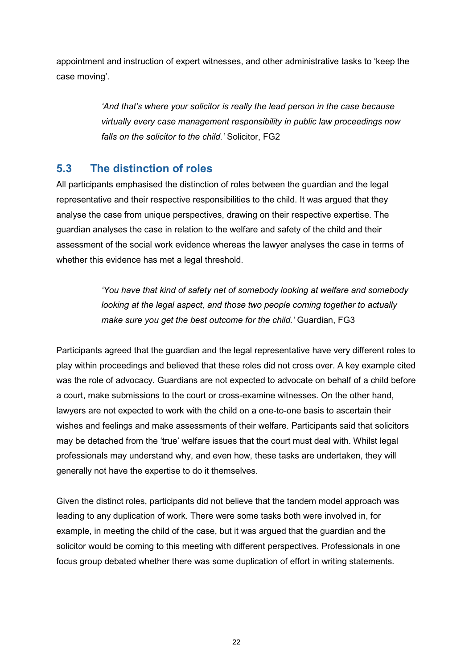appointment and instruction of expert witnesses, and other administrative tasks to 'keep the case moving'.

> *'And that's where your solicitor is really the lead person in the case because virtually every case management responsibility in public law proceedings now falls on the solicitor to the child.'* Solicitor, FG2

## <span id="page-26-0"></span>**5.3 The distinction of roles**

All participants emphasised the distinction of roles between the guardian and the legal representative and their respective responsibilities to the child. It was argued that they analyse the case from unique perspectives, drawing on their respective expertise. The guardian analyses the case in relation to the welfare and safety of the child and their assessment of the social work evidence whereas the lawyer analyses the case in terms of whether this evidence has met a legal threshold.

> *'You have that kind of safety net of somebody looking at welfare and somebody looking at the legal aspect, and those two people coming together to actually make sure you get the best outcome for the child.'* Guardian, FG3

Participants agreed that the guardian and the legal representative have very different roles to play within proceedings and believed that these roles did not cross over. A key example cited was the role of advocacy. Guardians are not expected to advocate on behalf of a child before a court, make submissions to the court or cross-examine witnesses. On the other hand, lawyers are not expected to work with the child on a one-to-one basis to ascertain their wishes and feelings and make assessments of their welfare. Participants said that solicitors may be detached from the 'true' welfare issues that the court must deal with. Whilst legal professionals may understand why, and even how, these tasks are undertaken, they will generally not have the expertise to do it themselves.

Given the distinct roles, participants did not believe that the tandem model approach was leading to any duplication of work. There were some tasks both were involved in, for example, in meeting the child of the case, but it was argued that the guardian and the solicitor would be coming to this meeting with different perspectives. Professionals in one focus group debated whether there was some duplication of effort in writing statements.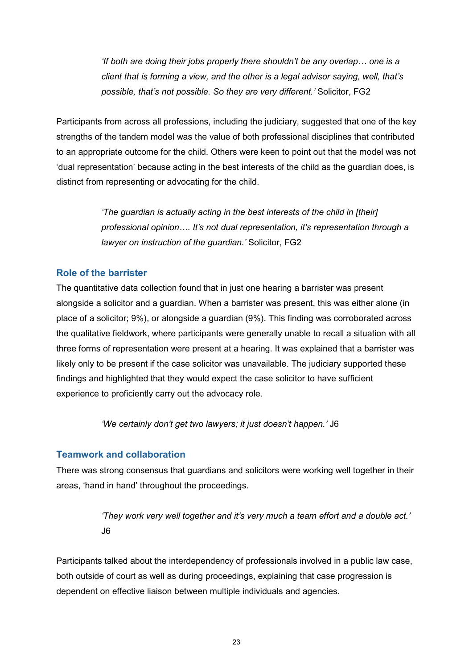*'If both are doing their jobs properly there shouldn't be any overlap… one is a client that is forming a view, and the other is a legal advisor saying, well, that's possible, that's not possible. So they are very different.'* Solicitor, FG2

Participants from across all professions, including the judiciary, suggested that one of the key strengths of the tandem model was the value of both professional disciplines that contributed to an appropriate outcome for the child. Others were keen to point out that the model was not 'dual representation' because acting in the best interests of the child as the guardian does, is distinct from representing or advocating for the child.

> *'The guardian is actually acting in the best interests of the child in [their] professional opinion…. It's not dual representation, it's representation through a lawyer on instruction of the guardian.'* Solicitor, FG2

#### **Role of the barrister**

The quantitative data collection found that in just one hearing a barrister was present alongside a solicitor and a guardian. When a barrister was present, this was either alone (in place of a solicitor; 9%), or alongside a guardian (9%). This finding was corroborated across the qualitative fieldwork, where participants were generally unable to recall a situation with all three forms of representation were present at a hearing. It was explained that a barrister was likely only to be present if the case solicitor was unavailable. The judiciary supported these findings and highlighted that they would expect the case solicitor to have sufficient experience to proficiently carry out the advocacy role.

*'We certainly don't get two lawyers; it just doesn't happen.'* J6

#### **Teamwork and collaboration**

There was strong consensus that guardians and solicitors were working well together in their areas, 'hand in hand' throughout the proceedings.

> *'They work very well together and it's very much a team effort and a double act.'*  J6

Participants talked about the interdependency of professionals involved in a public law case, both outside of court as well as during proceedings, explaining that case progression is dependent on effective liaison between multiple individuals and agencies.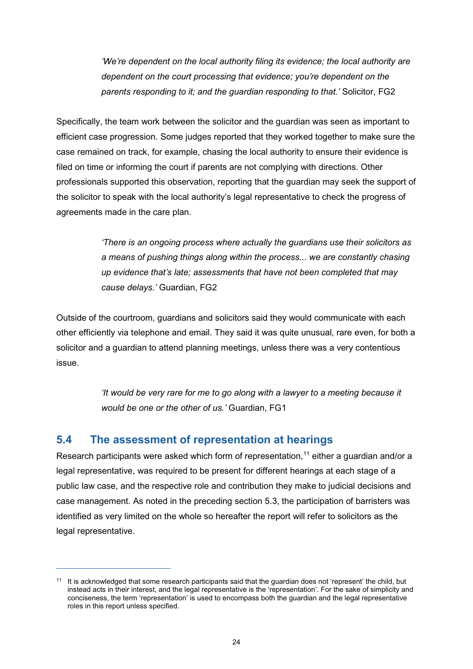*'We're dependent on the local authority filing its evidence; the local authority are dependent on the court processing that evidence; you're dependent on the parents responding to it; and the guardian responding to that.'* Solicitor, FG2

Specifically, the team work between the solicitor and the guardian was seen as important to efficient case progression. Some judges reported that they worked together to make sure the case remained on track, for example, chasing the local authority to ensure their evidence is filed on time or informing the court if parents are not complying with directions. Other professionals supported this observation, reporting that the guardian may seek the support of the solicitor to speak with the local authority's legal representative to check the progress of agreements made in the care plan.

> *'There is an ongoing process where actually the guardians use their solicitors as a means of pushing things along within the process... we are constantly chasing up evidence that's late; assessments that have not been completed that may cause delays.'* Guardian, FG2

Outside of the courtroom, guardians and solicitors said they would communicate with each other efficiently via telephone and email. They said it was quite unusual, rare even, for both a solicitor and a guardian to attend planning meetings, unless there was a very contentious issue.

> *'It would be very rare for me to go along with a lawyer to a meeting because it would be one or the other of us.'* Guardian, FG1

## <span id="page-28-0"></span>**5.4 The assessment of representation at hearings**

 $\overline{a}$ 

Research participants were asked which form of representation,<sup>[11](#page-28-1)</sup> either a guardian and/or a legal representative, was required to be present for different hearings at each stage of a public law case, and the respective role and contribution they make to judicial decisions and case management. As noted in the preceding section 5.3, the participation of barristers was identified as very limited on the whole so hereafter the report will refer to solicitors as the legal representative.

<span id="page-28-1"></span><sup>&</sup>lt;sup>11</sup> It is acknowledged that some research participants said that the guardian does not 'represent' the child, but instead acts in their interest, and the legal representative is the 'representation'. For the sake of simplicity and conciseness, the term 'representation' is used to encompass both the guardian and the legal representative roles in this report unless specified.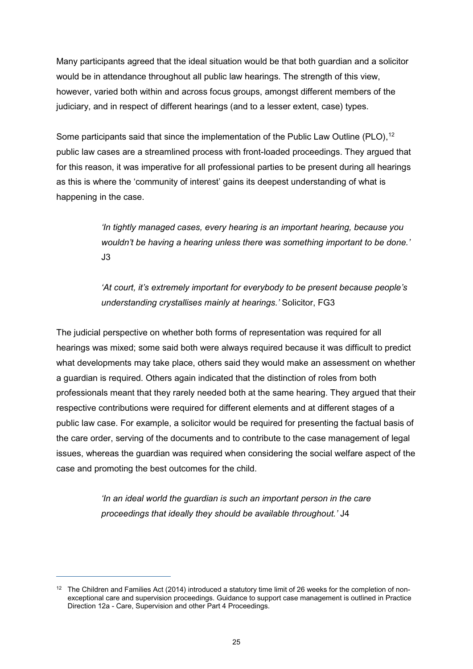Many participants agreed that the ideal situation would be that both guardian and a solicitor would be in attendance throughout all public law hearings. The strength of this view, however, varied both within and across focus groups, amongst different members of the judiciary, and in respect of different hearings (and to a lesser extent, case) types.

Some participants said that since the implementation of the Public Law Outline (PLO),<sup>[12](#page-29-0)</sup> public law cases are a streamlined process with front-loaded proceedings. They argued that for this reason, it was imperative for all professional parties to be present during all hearings as this is where the 'community of interest' gains its deepest understanding of what is happening in the case.

> *'In tightly managed cases, every hearing is an important hearing, because you wouldn't be having a hearing unless there was something important to be done.'*  J3

> *'At court, it's extremely important for everybody to be present because people's understanding crystallises mainly at hearings.'* Solicitor, FG3

The judicial perspective on whether both forms of representation was required for all hearings was mixed; some said both were always required because it was difficult to predict what developments may take place, others said they would make an assessment on whether a guardian is required. Others again indicated that the distinction of roles from both professionals meant that they rarely needed both at the same hearing. They argued that their respective contributions were required for different elements and at different stages of a public law case. For example, a solicitor would be required for presenting the factual basis of the care order, serving of the documents and to contribute to the case management of legal issues, whereas the guardian was required when considering the social welfare aspect of the case and promoting the best outcomes for the child.

> *'In an ideal world the guardian is such an important person in the care proceedings that ideally they should be available throughout.'* J4

 $\overline{a}$ 

<span id="page-29-0"></span> $12$  The Children and Families Act (2014) introduced a statutory time limit of 26 weeks for the completion of nonexceptional care and supervision proceedings. Guidance to support case management is outlined in Practice Direction 12a - Care, Supervision and other Part 4 Proceedings.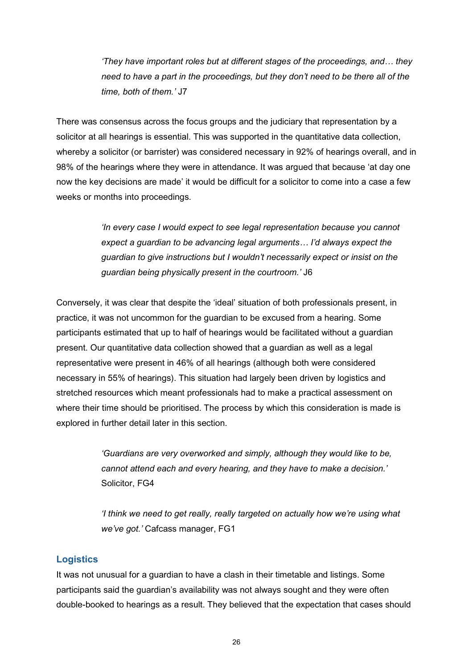*'They have important roles but at different stages of the proceedings, and… they need to have a part in the proceedings, but they don't need to be there all of the time, both of them.'* J7

There was consensus across the focus groups and the judiciary that representation by a solicitor at all hearings is essential. This was supported in the quantitative data collection, whereby a solicitor (or barrister) was considered necessary in 92% of hearings overall, and in 98% of the hearings where they were in attendance. It was argued that because 'at day one now the key decisions are made' it would be difficult for a solicitor to come into a case a few weeks or months into proceedings.

> *'In every case I would expect to see legal representation because you cannot expect a guardian to be advancing legal arguments… I'd always expect the guardian to give instructions but I wouldn't necessarily expect or insist on the guardian being physically present in the courtroom.'* J6

Conversely, it was clear that despite the 'ideal' situation of both professionals present, in practice, it was not uncommon for the guardian to be excused from a hearing. Some participants estimated that up to half of hearings would be facilitated without a guardian present. Our quantitative data collection showed that a guardian as well as a legal representative were present in 46% of all hearings (although both were considered necessary in 55% of hearings). This situation had largely been driven by logistics and stretched resources which meant professionals had to make a practical assessment on where their time should be prioritised. The process by which this consideration is made is explored in further detail later in this section.

> *'Guardians are very overworked and simply, although they would like to be, cannot attend each and every hearing, and they have to make a decision.'*  Solicitor, FG4

*'I think we need to get really, really targeted on actually how we're using what we've got.'* Cafcass manager, FG1

#### **Logistics**

It was not unusual for a guardian to have a clash in their timetable and listings. Some participants said the guardian's availability was not always sought and they were often double-booked to hearings as a result. They believed that the expectation that cases should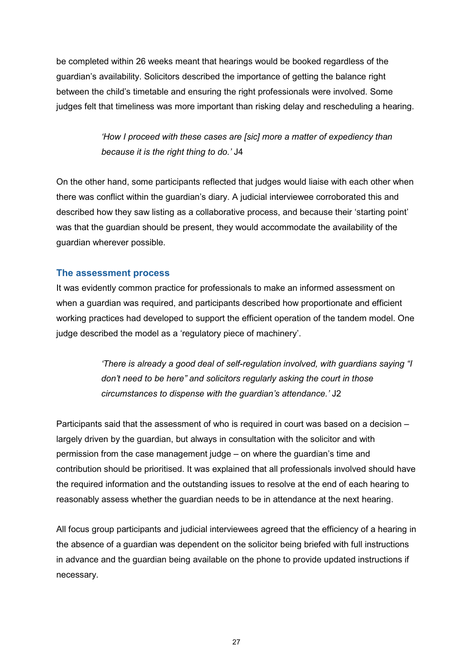be completed within 26 weeks meant that hearings would be booked regardless of the guardian's availability. Solicitors described the importance of getting the balance right between the child's timetable and ensuring the right professionals were involved. Some judges felt that timeliness was more important than risking delay and rescheduling a hearing.

> *'How I proceed with these cases are [sic] more a matter of expediency than because it is the right thing to do.'* J4

On the other hand, some participants reflected that judges would liaise with each other when there was conflict within the guardian's diary. A judicial interviewee corroborated this and described how they saw listing as a collaborative process, and because their 'starting point' was that the guardian should be present, they would accommodate the availability of the guardian wherever possible.

#### **The assessment process**

It was evidently common practice for professionals to make an informed assessment on when a guardian was required, and participants described how proportionate and efficient working practices had developed to support the efficient operation of the tandem model. One judge described the model as a 'regulatory piece of machinery'.

> *'There is already a good deal of self-regulation involved, with guardians saying "I don't need to be here" and solicitors regularly asking the court in those circumstances to dispense with the guardian's attendance.'* J2

Participants said that the assessment of who is required in court was based on a decision – largely driven by the guardian, but always in consultation with the solicitor and with permission from the case management judge – on where the guardian's time and contribution should be prioritised. It was explained that all professionals involved should have the required information and the outstanding issues to resolve at the end of each hearing to reasonably assess whether the guardian needs to be in attendance at the next hearing.

All focus group participants and judicial interviewees agreed that the efficiency of a hearing in the absence of a guardian was dependent on the solicitor being briefed with full instructions in advance and the guardian being available on the phone to provide updated instructions if necessary.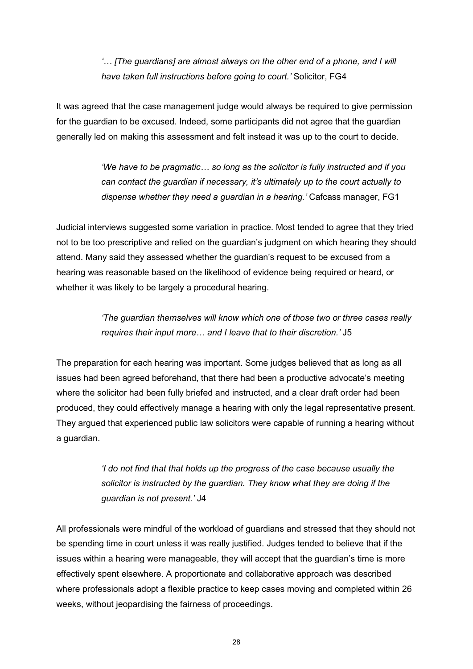*'… [The guardians] are almost always on the other end of a phone, and I will have taken full instructions before going to court.'* Solicitor, FG4

It was agreed that the case management judge would always be required to give permission for the guardian to be excused. Indeed, some participants did not agree that the guardian generally led on making this assessment and felt instead it was up to the court to decide.

> *'We have to be pragmatic… so long as the solicitor is fully instructed and if you can contact the guardian if necessary, it's ultimately up to the court actually to dispense whether they need a guardian in a hearing.'* Cafcass manager, FG1

Judicial interviews suggested some variation in practice. Most tended to agree that they tried not to be too prescriptive and relied on the guardian's judgment on which hearing they should attend. Many said they assessed whether the guardian's request to be excused from a hearing was reasonable based on the likelihood of evidence being required or heard, or whether it was likely to be largely a procedural hearing.

> *'The guardian themselves will know which one of those two or three cases really requires their input more… and I leave that to their discretion.'* J5

The preparation for each hearing was important. Some judges believed that as long as all issues had been agreed beforehand, that there had been a productive advocate's meeting where the solicitor had been fully briefed and instructed, and a clear draft order had been produced, they could effectively manage a hearing with only the legal representative present. They argued that experienced public law solicitors were capable of running a hearing without a guardian.

> *'I do not find that that holds up the progress of the case because usually the solicitor is instructed by the guardian. They know what they are doing if the guardian is not present.'* J4

All professionals were mindful of the workload of guardians and stressed that they should not be spending time in court unless it was really justified. Judges tended to believe that if the issues within a hearing were manageable, they will accept that the guardian's time is more effectively spent elsewhere. A proportionate and collaborative approach was described where professionals adopt a flexible practice to keep cases moving and completed within 26 weeks, without jeopardising the fairness of proceedings.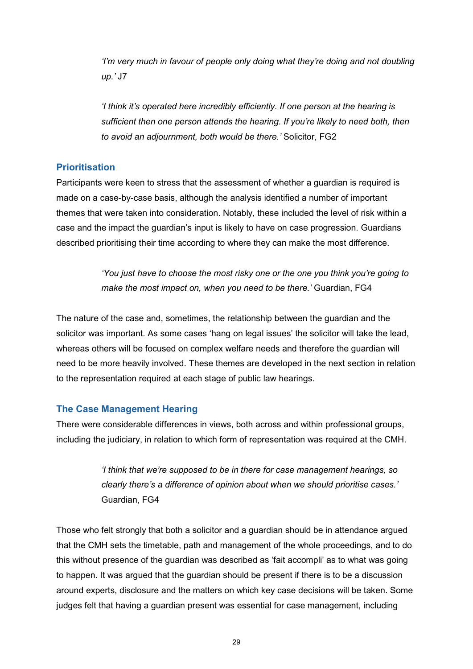*'I'm very much in favour of people only doing what they're doing and not doubling up.'* J7

*'I think it's operated here incredibly efficiently. If one person at the hearing is sufficient then one person attends the hearing. If you're likely to need both, then to avoid an adjournment, both would be there.'* Solicitor, FG2

#### **Prioritisation**

Participants were keen to stress that the assessment of whether a guardian is required is made on a case-by-case basis, although the analysis identified a number of important themes that were taken into consideration. Notably, these included the level of risk within a case and the impact the guardian's input is likely to have on case progression. Guardians described prioritising their time according to where they can make the most difference.

> *'You just have to choose the most risky one or the one you think you're going to make the most impact on, when you need to be there.'* Guardian, FG4

The nature of the case and, sometimes, the relationship between the guardian and the solicitor was important. As some cases 'hang on legal issues' the solicitor will take the lead, whereas others will be focused on complex welfare needs and therefore the guardian will need to be more heavily involved. These themes are developed in the next section in relation to the representation required at each stage of public law hearings.

#### **The Case Management Hearing**

There were considerable differences in views, both across and within professional groups, including the judiciary, in relation to which form of representation was required at the CMH.

> *'I think that we're supposed to be in there for case management hearings, so clearly there's a difference of opinion about when we should prioritise cases.'*  Guardian, FG4

Those who felt strongly that both a solicitor and a guardian should be in attendance argued that the CMH sets the timetable, path and management of the whole proceedings, and to do this without presence of the guardian was described as 'fait accompli' as to what was going to happen. It was argued that the guardian should be present if there is to be a discussion around experts, disclosure and the matters on which key case decisions will be taken. Some judges felt that having a guardian present was essential for case management, including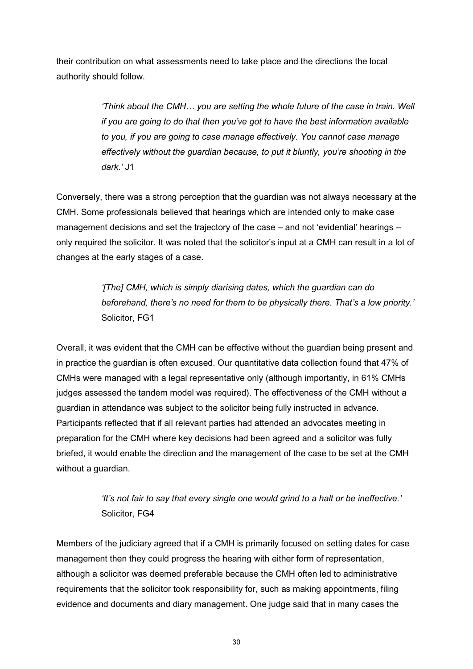their contribution on what assessments need to take place and the directions the local authority should follow.

> *'Think about the CMH… you are setting the whole future of the case in train. Well if you are going to do that then you've got to have the best information available to you, if you are going to case manage effectively. You cannot case manage effectively without the guardian because, to put it bluntly, you're shooting in the dark.'* J1

Conversely, there was a strong perception that the guardian was not always necessary at the CMH. Some professionals believed that hearings which are intended only to make case management decisions and set the trajectory of the case – and not 'evidential' hearings – only required the solicitor. It was noted that the solicitor's input at a CMH can result in a lot of changes at the early stages of a case.

> *'[The] CMH, which is simply diarising dates, which the guardian can do beforehand, there's no need for them to be physically there. That's a low priority.'*  Solicitor, FG1

Overall, it was evident that the CMH can be effective without the guardian being present and in practice the guardian is often excused. Our quantitative data collection found that 47% of CMHs were managed with a legal representative only (although importantly, in 61% CMHs judges assessed the tandem model was required). The effectiveness of the CMH without a guardian in attendance was subject to the solicitor being fully instructed in advance. Participants reflected that if all relevant parties had attended an advocates meeting in preparation for the CMH where key decisions had been agreed and a solicitor was fully briefed, it would enable the direction and the management of the case to be set at the CMH without a quardian.

> *'It's not fair to say that every single one would grind to a halt or be ineffective.'*  Solicitor, FG4

Members of the judiciary agreed that if a CMH is primarily focused on setting dates for case management then they could progress the hearing with either form of representation, although a solicitor was deemed preferable because the CMH often led to administrative requirements that the solicitor took responsibility for, such as making appointments, filing evidence and documents and diary management. One judge said that in many cases the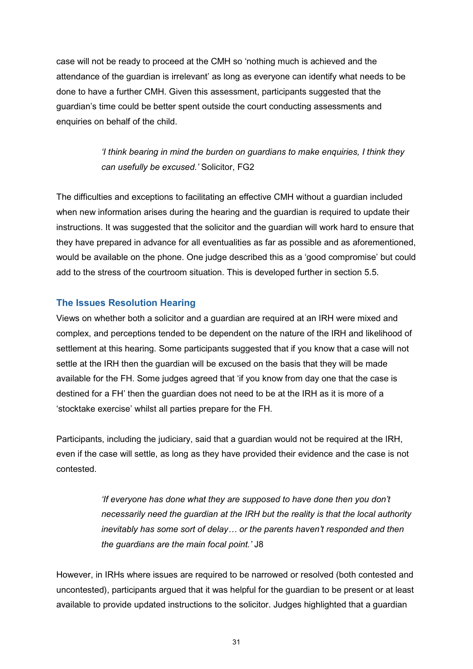case will not be ready to proceed at the CMH so 'nothing much is achieved and the attendance of the guardian is irrelevant' as long as everyone can identify what needs to be done to have a further CMH. Given this assessment, participants suggested that the guardian's time could be better spent outside the court conducting assessments and enquiries on behalf of the child.

> *'I think bearing in mind the burden on guardians to make enquiries, I think they can usefully be excused.'* Solicitor, FG2

The difficulties and exceptions to facilitating an effective CMH without a guardian included when new information arises during the hearing and the guardian is required to update their instructions. It was suggested that the solicitor and the guardian will work hard to ensure that they have prepared in advance for all eventualities as far as possible and as aforementioned, would be available on the phone. One judge described this as a 'good compromise' but could add to the stress of the courtroom situation. This is developed further in section 5.5.

#### **The Issues Resolution Hearing**

Views on whether both a solicitor and a guardian are required at an IRH were mixed and complex, and perceptions tended to be dependent on the nature of the IRH and likelihood of settlement at this hearing. Some participants suggested that if you know that a case will not settle at the IRH then the guardian will be excused on the basis that they will be made available for the FH. Some judges agreed that 'if you know from day one that the case is destined for a FH' then the guardian does not need to be at the IRH as it is more of a 'stocktake exercise' whilst all parties prepare for the FH.

Participants, including the judiciary, said that a guardian would not be required at the IRH, even if the case will settle, as long as they have provided their evidence and the case is not contested.

> *'If everyone has done what they are supposed to have done then you don't necessarily need the guardian at the IRH but the reality is that the local authority inevitably has some sort of delay… or the parents haven't responded and then the guardians are the main focal point.'* J8

However, in IRHs where issues are required to be narrowed or resolved (both contested and uncontested), participants argued that it was helpful for the guardian to be present or at least available to provide updated instructions to the solicitor. Judges highlighted that a guardian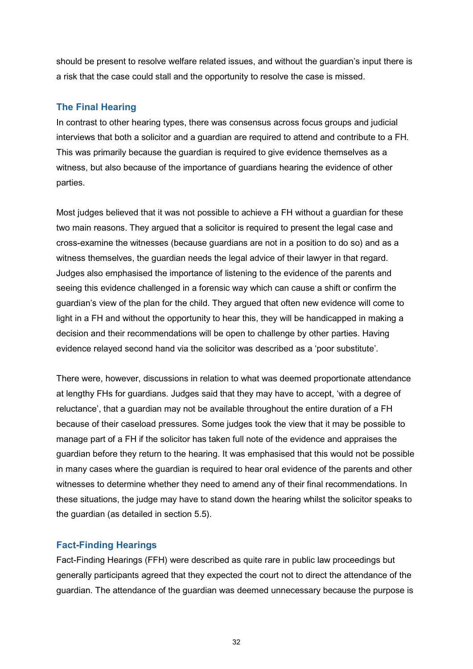should be present to resolve welfare related issues, and without the guardian's input there is a risk that the case could stall and the opportunity to resolve the case is missed.

#### **The Final Hearing**

In contrast to other hearing types, there was consensus across focus groups and judicial interviews that both a solicitor and a guardian are required to attend and contribute to a FH. This was primarily because the guardian is required to give evidence themselves as a witness, but also because of the importance of guardians hearing the evidence of other parties.

Most judges believed that it was not possible to achieve a FH without a guardian for these two main reasons. They argued that a solicitor is required to present the legal case and cross-examine the witnesses (because guardians are not in a position to do so) and as a witness themselves, the guardian needs the legal advice of their lawyer in that regard. Judges also emphasised the importance of listening to the evidence of the parents and seeing this evidence challenged in a forensic way which can cause a shift or confirm the guardian's view of the plan for the child. They argued that often new evidence will come to light in a FH and without the opportunity to hear this, they will be handicapped in making a decision and their recommendations will be open to challenge by other parties. Having evidence relayed second hand via the solicitor was described as a 'poor substitute'.

There were, however, discussions in relation to what was deemed proportionate attendance at lengthy FHs for guardians. Judges said that they may have to accept, 'with a degree of reluctance', that a guardian may not be available throughout the entire duration of a FH because of their caseload pressures. Some judges took the view that it may be possible to manage part of a FH if the solicitor has taken full note of the evidence and appraises the guardian before they return to the hearing. It was emphasised that this would not be possible in many cases where the guardian is required to hear oral evidence of the parents and other witnesses to determine whether they need to amend any of their final recommendations. In these situations, the judge may have to stand down the hearing whilst the solicitor speaks to the guardian (as detailed in section 5.5).

#### **Fact-Finding Hearings**

Fact-Finding Hearings (FFH) were described as quite rare in public law proceedings but generally participants agreed that they expected the court not to direct the attendance of the guardian. The attendance of the guardian was deemed unnecessary because the purpose is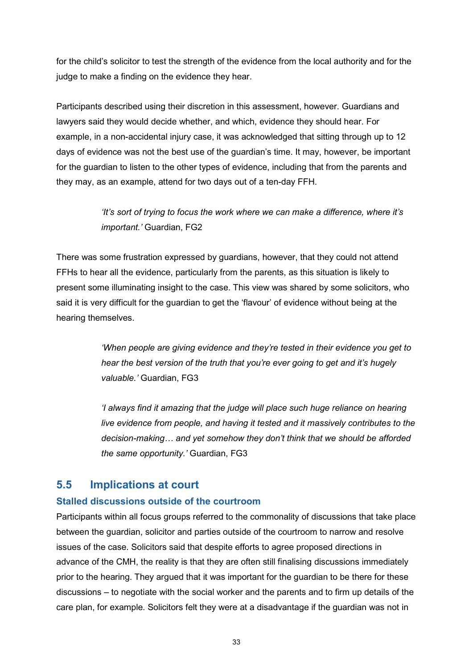for the child's solicitor to test the strength of the evidence from the local authority and for the judge to make a finding on the evidence they hear.

Participants described using their discretion in this assessment, however. Guardians and lawyers said they would decide whether, and which, evidence they should hear. For example, in a non-accidental injury case, it was acknowledged that sitting through up to 12 days of evidence was not the best use of the guardian's time. It may, however, be important for the guardian to listen to the other types of evidence, including that from the parents and they may, as an example, attend for two days out of a ten-day FFH.

> *'It's sort of trying to focus the work where we can make a difference, where it's important.'* Guardian, FG2

There was some frustration expressed by guardians, however, that they could not attend FFHs to hear all the evidence, particularly from the parents, as this situation is likely to present some illuminating insight to the case. This view was shared by some solicitors, who said it is very difficult for the guardian to get the 'flavour' of evidence without being at the hearing themselves.

> *'When people are giving evidence and they're tested in their evidence you get to hear the best version of the truth that you're ever going to get and it's hugely valuable.'* Guardian, FG3

*'I always find it amazing that the judge will place such huge reliance on hearing live evidence from people, and having it tested and it massively contributes to the decision-making… and yet somehow they don't think that we should be afforded the same opportunity.'* Guardian, FG3

## <span id="page-37-0"></span>**5.5 Implications at court**

#### **Stalled discussions outside of the courtroom**

Participants within all focus groups referred to the commonality of discussions that take place between the guardian, solicitor and parties outside of the courtroom to narrow and resolve issues of the case. Solicitors said that despite efforts to agree proposed directions in advance of the CMH, the reality is that they are often still finalising discussions immediately prior to the hearing. They argued that it was important for the guardian to be there for these discussions – to negotiate with the social worker and the parents and to firm up details of the care plan, for example. Solicitors felt they were at a disadvantage if the guardian was not in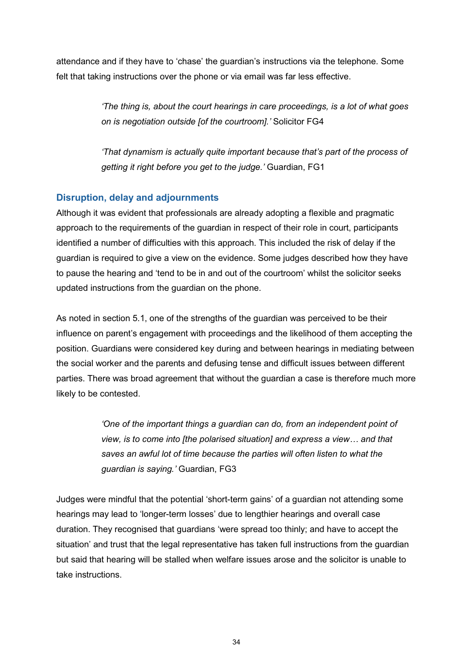attendance and if they have to 'chase' the guardian's instructions via the telephone. Some felt that taking instructions over the phone or via email was far less effective.

> *'The thing is, about the court hearings in care proceedings, is a lot of what goes on is negotiation outside [of the courtroom].'* Solicitor FG4

> *'That dynamism is actually quite important because that's part of the process of getting it right before you get to the judge.'* Guardian, FG1

#### **Disruption, delay and adjournments**

Although it was evident that professionals are already adopting a flexible and pragmatic approach to the requirements of the guardian in respect of their role in court, participants identified a number of difficulties with this approach. This included the risk of delay if the guardian is required to give a view on the evidence. Some judges described how they have to pause the hearing and 'tend to be in and out of the courtroom' whilst the solicitor seeks updated instructions from the guardian on the phone.

As noted in section 5.1, one of the strengths of the guardian was perceived to be their influence on parent's engagement with proceedings and the likelihood of them accepting the position. Guardians were considered key during and between hearings in mediating between the social worker and the parents and defusing tense and difficult issues between different parties. There was broad agreement that without the guardian a case is therefore much more likely to be contested.

> *'One of the important things a guardian can do, from an independent point of view, is to come into [the polarised situation] and express a view… and that saves an awful lot of time because the parties will often listen to what the guardian is saying.'* Guardian, FG3

Judges were mindful that the potential 'short-term gains' of a guardian not attending some hearings may lead to 'longer-term losses' due to lengthier hearings and overall case duration. They recognised that guardians 'were spread too thinly; and have to accept the situation' and trust that the legal representative has taken full instructions from the guardian but said that hearing will be stalled when welfare issues arose and the solicitor is unable to take instructions.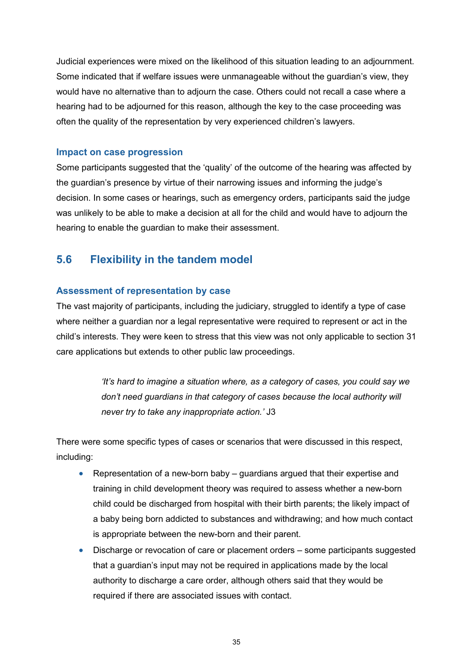Judicial experiences were mixed on the likelihood of this situation leading to an adjournment. Some indicated that if welfare issues were unmanageable without the guardian's view, they would have no alternative than to adjourn the case. Others could not recall a case where a hearing had to be adjourned for this reason, although the key to the case proceeding was often the quality of the representation by very experienced children's lawyers.

#### **Impact on case progression**

Some participants suggested that the 'quality' of the outcome of the hearing was affected by the guardian's presence by virtue of their narrowing issues and informing the judge's decision. In some cases or hearings, such as emergency orders, participants said the judge was unlikely to be able to make a decision at all for the child and would have to adjourn the hearing to enable the guardian to make their assessment.

## <span id="page-39-0"></span>**5.6 Flexibility in the tandem model**

#### **Assessment of representation by case**

The vast majority of participants, including the judiciary, struggled to identify a type of case where neither a guardian nor a legal representative were required to represent or act in the child's interests. They were keen to stress that this view was not only applicable to section 31 care applications but extends to other public law proceedings.

> *'It's hard to imagine a situation where, as a category of cases, you could say we don't need guardians in that category of cases because the local authority will never try to take any inappropriate action.'* J3

There were some specific types of cases or scenarios that were discussed in this respect, including:

- Representation of a new-born baby guardians argued that their expertise and training in child development theory was required to assess whether a new-born child could be discharged from hospital with their birth parents; the likely impact of a baby being born addicted to substances and withdrawing; and how much contact is appropriate between the new-born and their parent.
- Discharge or revocation of care or placement orders some participants suggested that a guardian's input may not be required in applications made by the local authority to discharge a care order, although others said that they would be required if there are associated issues with contact.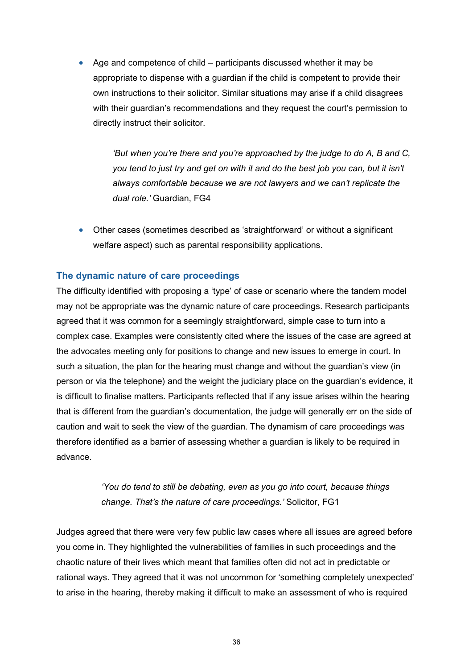Age and competence of child – participants discussed whether it may be appropriate to dispense with a guardian if the child is competent to provide their own instructions to their solicitor. Similar situations may arise if a child disagrees with their guardian's recommendations and they request the court's permission to directly instruct their solicitor.

> *'But when you're there and you're approached by the judge to do A, B and C, you tend to just try and get on with it and do the best job you can, but it isn't always comfortable because we are not lawyers and we can't replicate the dual role.'* Guardian, FG4

• Other cases (sometimes described as 'straightforward' or without a significant welfare aspect) such as parental responsibility applications.

#### **The dynamic nature of care proceedings**

The difficulty identified with proposing a 'type' of case or scenario where the tandem model may not be appropriate was the dynamic nature of care proceedings. Research participants agreed that it was common for a seemingly straightforward, simple case to turn into a complex case. Examples were consistently cited where the issues of the case are agreed at the advocates meeting only for positions to change and new issues to emerge in court. In such a situation, the plan for the hearing must change and without the guardian's view (in person or via the telephone) and the weight the judiciary place on the guardian's evidence, it is difficult to finalise matters. Participants reflected that if any issue arises within the hearing that is different from the guardian's documentation, the judge will generally err on the side of caution and wait to seek the view of the guardian. The dynamism of care proceedings was therefore identified as a barrier of assessing whether a guardian is likely to be required in advance.

> *'You do tend to still be debating, even as you go into court, because things change. That's the nature of care proceedings.'* Solicitor, FG1

Judges agreed that there were very few public law cases where all issues are agreed before you come in. They highlighted the vulnerabilities of families in such proceedings and the chaotic nature of their lives which meant that families often did not act in predictable or rational ways. They agreed that it was not uncommon for 'something completely unexpected' to arise in the hearing, thereby making it difficult to make an assessment of who is required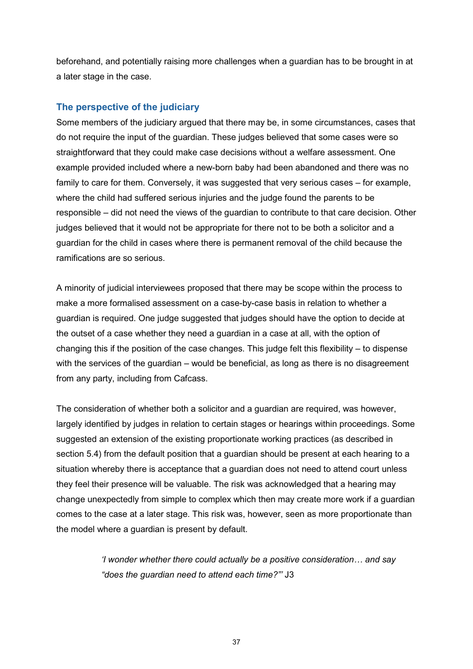beforehand, and potentially raising more challenges when a guardian has to be brought in at a later stage in the case.

#### **The perspective of the judiciary**

Some members of the judiciary argued that there may be, in some circumstances, cases that do not require the input of the guardian. These judges believed that some cases were so straightforward that they could make case decisions without a welfare assessment. One example provided included where a new-born baby had been abandoned and there was no family to care for them. Conversely, it was suggested that very serious cases – for example, where the child had suffered serious injuries and the judge found the parents to be responsible – did not need the views of the guardian to contribute to that care decision. Other judges believed that it would not be appropriate for there not to be both a solicitor and a guardian for the child in cases where there is permanent removal of the child because the ramifications are so serious.

A minority of judicial interviewees proposed that there may be scope within the process to make a more formalised assessment on a case-by-case basis in relation to whether a guardian is required. One judge suggested that judges should have the option to decide at the outset of a case whether they need a guardian in a case at all, with the option of changing this if the position of the case changes. This judge felt this flexibility – to dispense with the services of the guardian – would be beneficial, as long as there is no disagreement from any party, including from Cafcass.

The consideration of whether both a solicitor and a guardian are required, was however, largely identified by judges in relation to certain stages or hearings within proceedings. Some suggested an extension of the existing proportionate working practices (as described in section 5.4) from the default position that a guardian should be present at each hearing to a situation whereby there is acceptance that a guardian does not need to attend court unless they feel their presence will be valuable. The risk was acknowledged that a hearing may change unexpectedly from simple to complex which then may create more work if a guardian comes to the case at a later stage. This risk was, however, seen as more proportionate than the model where a guardian is present by default.

> *'I wonder whether there could actually be a positive consideration… and say "does the guardian need to attend each time?"'* J3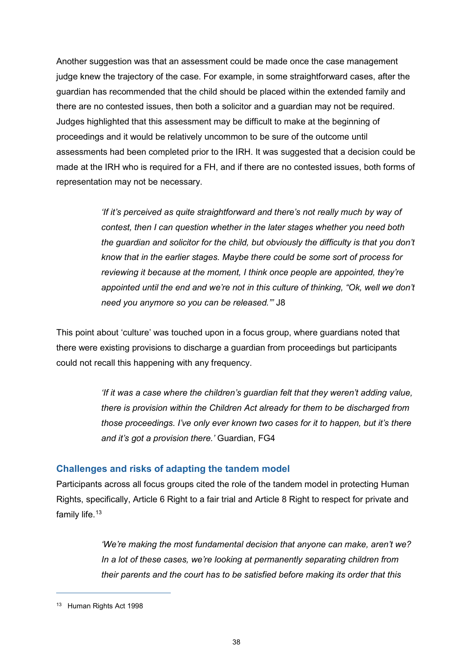Another suggestion was that an assessment could be made once the case management judge knew the trajectory of the case. For example, in some straightforward cases, after the guardian has recommended that the child should be placed within the extended family and there are no contested issues, then both a solicitor and a guardian may not be required. Judges highlighted that this assessment may be difficult to make at the beginning of proceedings and it would be relatively uncommon to be sure of the outcome until assessments had been completed prior to the IRH. It was suggested that a decision could be made at the IRH who is required for a FH, and if there are no contested issues, both forms of representation may not be necessary.

> *'If it's perceived as quite straightforward and there's not really much by way of contest, then I can question whether in the later stages whether you need both the guardian and solicitor for the child, but obviously the difficulty is that you don't know that in the earlier stages. Maybe there could be some sort of process for reviewing it because at the moment, I think once people are appointed, they're appointed until the end and we're not in this culture of thinking, "Ok, well we don't need you anymore so you can be released."'* J8

This point about 'culture' was touched upon in a focus group, where guardians noted that there were existing provisions to discharge a guardian from proceedings but participants could not recall this happening with any frequency.

> *If it was a case where the children's guardian felt that they weren't adding value, there is provision within the Children Act already for them to be discharged from those proceedings. I've only ever known two cases for it to happen, but it's there and it's got a provision there.'* Guardian, FG4

#### **Challenges and risks of adapting the tandem model**

Participants across all focus groups cited the role of the tandem model in protecting Human Rights, specifically, Article 6 Right to a fair trial and Article 8 Right to respect for private and family life.<sup>[13](#page-42-0)</sup>

> *'We're making the most fundamental decision that anyone can make, aren't we? In a lot of these cases, we're looking at permanently separating children from their parents and the court has to be satisfied before making its order that this*

 $\overline{a}$ 

<span id="page-42-0"></span><sup>&</sup>lt;sup>13</sup> Human Rights Act 1998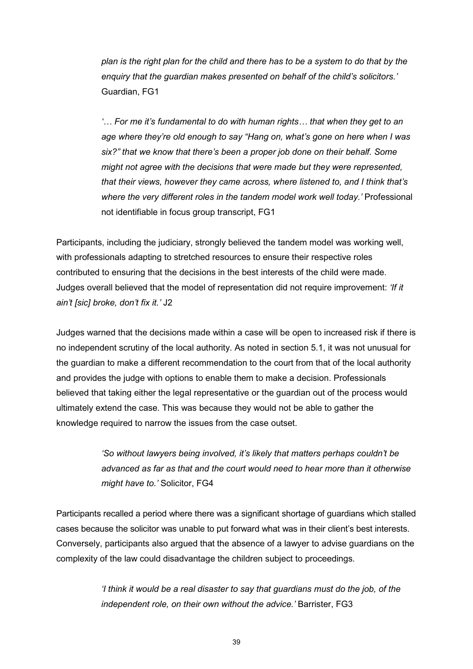*plan is the right plan for the child and there has to be a system to do that by the enquiry that the guardian makes presented on behalf of the child's solicitors.'*  Guardian, FG1

*'… For me it's fundamental to do with human rights… that when they get to an age where they're old enough to say "Hang on, what's gone on here when I was six?" that we know that there's been a proper job done on their behalf. Some might not agree with the decisions that were made but they were represented, that their views, however they came across, where listened to, and I think that's*  where the very different roles in the tandem model work well today.' Professional not identifiable in focus group transcript, FG1

Participants, including the judiciary, strongly believed the tandem model was working well, with professionals adapting to stretched resources to ensure their respective roles contributed to ensuring that the decisions in the best interests of the child were made. Judges overall believed that the model of representation did not require improvement: *'If it ain't [sic] broke, don't fix it.'* J2

Judges warned that the decisions made within a case will be open to increased risk if there is no independent scrutiny of the local authority. As noted in section 5.1, it was not unusual for the guardian to make a different recommendation to the court from that of the local authority and provides the judge with options to enable them to make a decision. Professionals believed that taking either the legal representative or the guardian out of the process would ultimately extend the case. This was because they would not be able to gather the knowledge required to narrow the issues from the case outset.

> *'So without lawyers being involved, it's likely that matters perhaps couldn't be advanced as far as that and the court would need to hear more than it otherwise might have to.'* Solicitor, FG4

Participants recalled a period where there was a significant shortage of guardians which stalled cases because the solicitor was unable to put forward what was in their client's best interests. Conversely, participants also argued that the absence of a lawyer to advise guardians on the complexity of the law could disadvantage the children subject to proceedings.

> *'I think it would be a real disaster to say that guardians must do the job, of the independent role, on their own without the advice.'* Barrister, FG3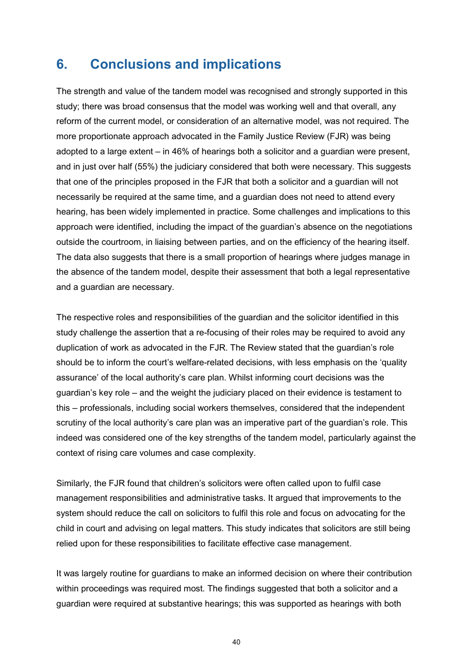## <span id="page-44-0"></span>**6. Conclusions and implications**

The strength and value of the tandem model was recognised and strongly supported in this study; there was broad consensus that the model was working well and that overall, any reform of the current model, or consideration of an alternative model, was not required. The more proportionate approach advocated in the Family Justice Review (FJR) was being adopted to a large extent – in 46% of hearings both a solicitor and a guardian were present, and in just over half (55%) the judiciary considered that both were necessary. This suggests that one of the principles proposed in the FJR that both a solicitor and a guardian will not necessarily be required at the same time, and a guardian does not need to attend every hearing, has been widely implemented in practice. Some challenges and implications to this approach were identified, including the impact of the guardian's absence on the negotiations outside the courtroom, in liaising between parties, and on the efficiency of the hearing itself. The data also suggests that there is a small proportion of hearings where judges manage in the absence of the tandem model, despite their assessment that both a legal representative and a guardian are necessary.

The respective roles and responsibilities of the guardian and the solicitor identified in this study challenge the assertion that a re-focusing of their roles may be required to avoid any duplication of work as advocated in the FJR. The Review stated that the guardian's role should be to inform the court's welfare-related decisions, with less emphasis on the 'quality assurance' of the local authority's care plan. Whilst informing court decisions was the guardian's key role – and the weight the judiciary placed on their evidence is testament to this – professionals, including social workers themselves, considered that the independent scrutiny of the local authority's care plan was an imperative part of the guardian's role. This indeed was considered one of the key strengths of the tandem model, particularly against the context of rising care volumes and case complexity.

Similarly, the FJR found that children's solicitors were often called upon to fulfil case management responsibilities and administrative tasks. It argued that improvements to the system should reduce the call on solicitors to fulfil this role and focus on advocating for the child in court and advising on legal matters. This study indicates that solicitors are still being relied upon for these responsibilities to facilitate effective case management.

It was largely routine for guardians to make an informed decision on where their contribution within proceedings was required most. The findings suggested that both a solicitor and a guardian were required at substantive hearings; this was supported as hearings with both

40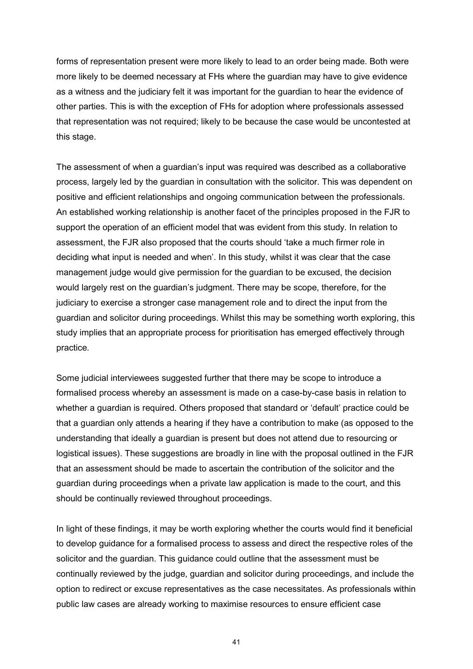forms of representation present were more likely to lead to an order being made. Both were more likely to be deemed necessary at FHs where the guardian may have to give evidence as a witness and the judiciary felt it was important for the guardian to hear the evidence of other parties. This is with the exception of FHs for adoption where professionals assessed that representation was not required; likely to be because the case would be uncontested at this stage.

The assessment of when a guardian's input was required was described as a collaborative process, largely led by the guardian in consultation with the solicitor. This was dependent on positive and efficient relationships and ongoing communication between the professionals. An established working relationship is another facet of the principles proposed in the FJR to support the operation of an efficient model that was evident from this study. In relation to assessment, the FJR also proposed that the courts should 'take a much firmer role in deciding what input is needed and when'. In this study, whilst it was clear that the case management judge would give permission for the guardian to be excused, the decision would largely rest on the guardian's judgment. There may be scope, therefore, for the judiciary to exercise a stronger case management role and to direct the input from the guardian and solicitor during proceedings. Whilst this may be something worth exploring, this study implies that an appropriate process for prioritisation has emerged effectively through practice.

Some judicial interviewees suggested further that there may be scope to introduce a formalised process whereby an assessment is made on a case-by-case basis in relation to whether a guardian is required. Others proposed that standard or 'default' practice could be that a guardian only attends a hearing if they have a contribution to make (as opposed to the understanding that ideally a guardian is present but does not attend due to resourcing or logistical issues). These suggestions are broadly in line with the proposal outlined in the FJR that an assessment should be made to ascertain the contribution of the solicitor and the guardian during proceedings when a private law application is made to the court, and this should be continually reviewed throughout proceedings.

In light of these findings, it may be worth exploring whether the courts would find it beneficial to develop guidance for a formalised process to assess and direct the respective roles of the solicitor and the guardian. This guidance could outline that the assessment must be continually reviewed by the judge, guardian and solicitor during proceedings, and include the option to redirect or excuse representatives as the case necessitates. As professionals within public law cases are already working to maximise resources to ensure efficient case

41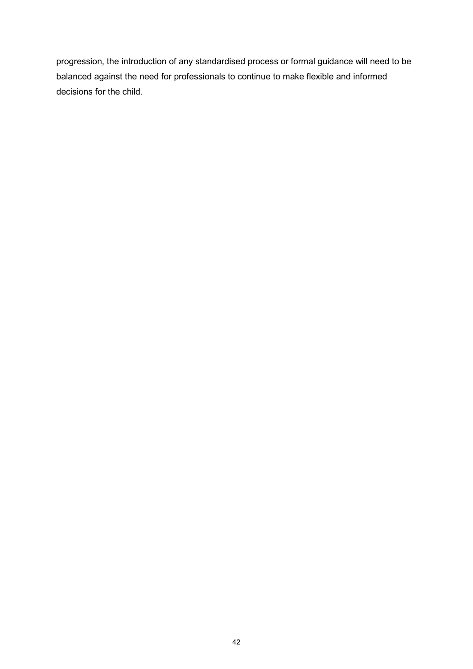progression, the introduction of any standardised process or formal guidance will need to be balanced against the need for professionals to continue to make flexible and informed decisions for the child.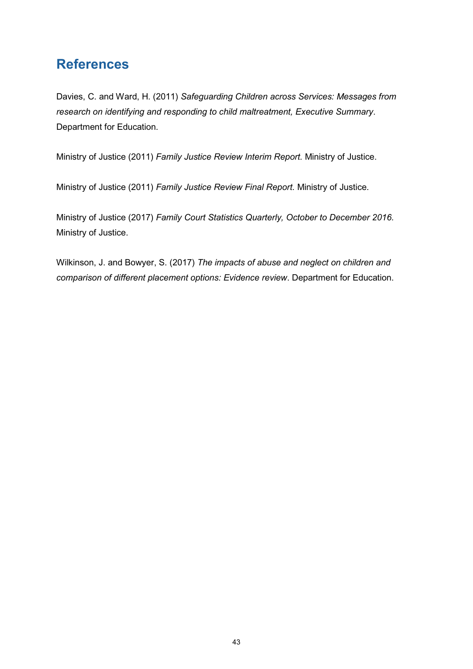# <span id="page-47-0"></span>**References**

Davies, C. and Ward, H. (2011) *Safeguarding Children across Services: Messages from research on identifying and responding to child maltreatment, Executive Summary*. Department for Education.

Ministry of Justice (2011) *Family Justice Review Interim Report.* Ministry of Justice.

Ministry of Justice (2011) *Family Justice Review Final Report.* Ministry of Justice.

Ministry of Justice (2017) *Family Court Statistics Quarterly, October to December 2016.* Ministry of Justice.

Wilkinson, J. and Bowyer, S. (2017) *The impacts of abuse and neglect on children and comparison of different placement options: Evidence review*. Department for Education.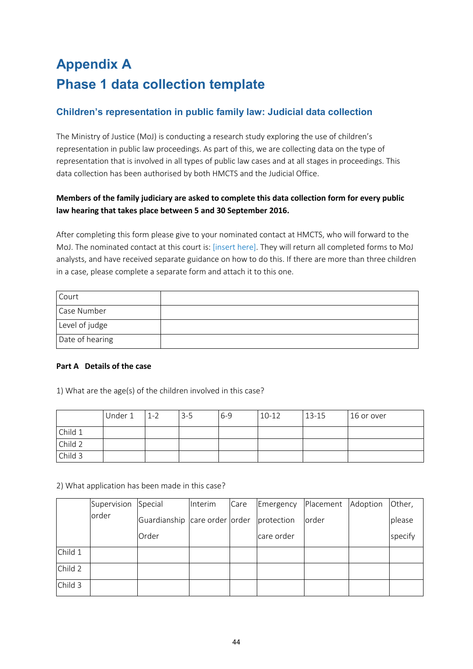# <span id="page-48-1"></span><span id="page-48-0"></span>**Appendix A Phase 1 data collection template**

## **Children's representation in public family law: Judicial data collection**

The Ministry of Justice (MoJ) is conducting a research study exploring the use of children's representation in public law proceedings. As part of this, we are collecting data on the type of representation that is involved in all types of public law cases and at all stages in proceedings. This data collection has been authorised by both HMCTS and the Judicial Office.

#### **Members of the family judiciary are asked to complete this data collection form for every public law hearing that takes place between 5 and 30 September 2016.**

After completing this form please give to your nominated contact at HMCTS, who will forward to the MoJ. The nominated contact at this court is: [insert here]. They will return all completed forms to MoJ analysts, and have received separate guidance on how to do this. If there are more than three children in a case, please complete a separate form and attach it to this one.

| Court           |  |
|-----------------|--|
| Case Number     |  |
| Level of judge  |  |
| Date of hearing |  |

#### **Part A Details of the case**

1) What are the age(s) of the children involved in this case?

|         | Under 1 | $1 - 2$ | $3 - 5$ | $6 - 9$ | $10-12$ | $13 - 15$ | 16 or over |
|---------|---------|---------|---------|---------|---------|-----------|------------|
| Child 1 |         |         |         |         |         |           |            |
| Child 2 |         |         |         |         |         |           |            |
| Child 3 |         |         |         |         |         |           |            |

2) What application has been made in this case?

|         | Supervision | Special                       | Interim | Care | Emergency  | Placement | Adoption | Other,  |
|---------|-------------|-------------------------------|---------|------|------------|-----------|----------|---------|
|         | order       | Guardianship care order order |         |      | protection | order     |          | please  |
|         |             | Order                         |         |      | care order |           |          | specify |
| Child 1 |             |                               |         |      |            |           |          |         |
| Child 2 |             |                               |         |      |            |           |          |         |
| Child 3 |             |                               |         |      |            |           |          |         |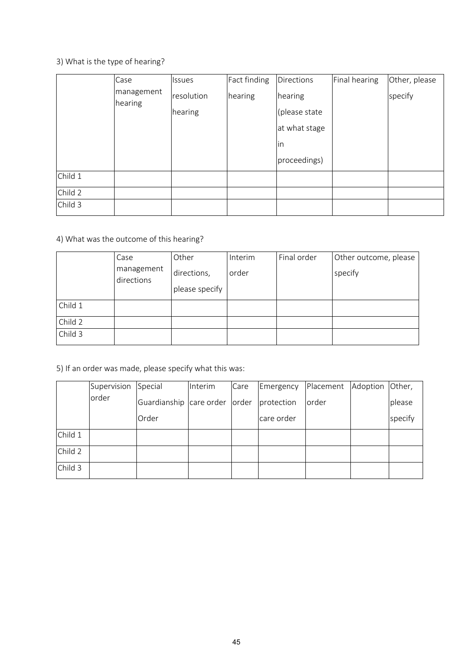## 3) What is the type of hearing?

|         | Case                  | Issues     | Fact finding | <b>Directions</b> | Final hearing | Other, please |
|---------|-----------------------|------------|--------------|-------------------|---------------|---------------|
|         | management<br>hearing | resolution | hearing      | hearing           |               | specify       |
|         |                       | hearing    |              | (please state     |               |               |
|         |                       |            |              | at what stage     |               |               |
|         |                       |            |              | <i>in</i>         |               |               |
|         |                       |            |              | proceedings)      |               |               |
| Child 1 |                       |            |              |                   |               |               |
| Child 2 |                       |            |              |                   |               |               |
| Child 3 |                       |            |              |                   |               |               |

## 4) What was the outcome of this hearing?

|         | Case                     | Other          | Interim | Final order | Other outcome, please |
|---------|--------------------------|----------------|---------|-------------|-----------------------|
|         | management<br>directions | directions,    | order   |             | specify               |
|         |                          | please specify |         |             |                       |
| Child 1 |                          |                |         |             |                       |
| Child 2 |                          |                |         |             |                       |
| Child 3 |                          |                |         |             |                       |

5) If an order was made, please specify what this was:

|         | Supervision | Special                 | Interim | Care  | Emergency  | Placement Adoption Other, |         |
|---------|-------------|-------------------------|---------|-------|------------|---------------------------|---------|
|         | order       | Guardianship care order |         | order | protection | order                     | please  |
|         |             | Order                   |         |       | care order |                           | specify |
| Child 1 |             |                         |         |       |            |                           |         |
| Child 2 |             |                         |         |       |            |                           |         |
| Child 3 |             |                         |         |       |            |                           |         |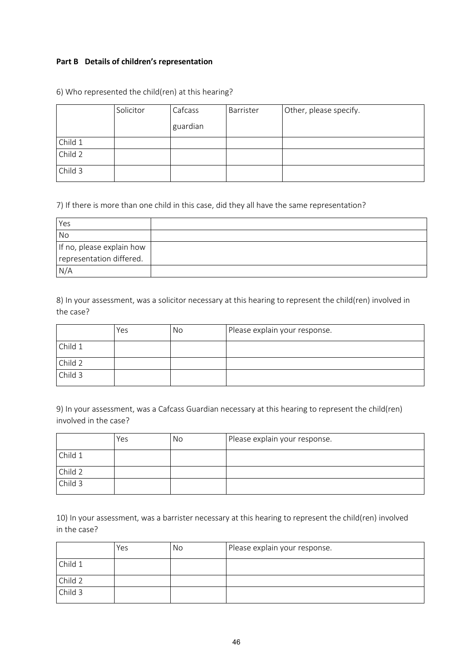#### **Part B Details of children's representation**

|         | Solicitor | Cafcass  | Barrister | Other, please specify. |
|---------|-----------|----------|-----------|------------------------|
|         |           | guardian |           |                        |
| Child 1 |           |          |           |                        |
| Child 2 |           |          |           |                        |
| Child 3 |           |          |           |                        |

6) Who represented the child(ren) at this hearing?

7) If there is more than one child in this case, did they all have the same representation?

| Yes                       |  |
|---------------------------|--|
| <b>No</b>                 |  |
| If no, please explain how |  |
| representation differed.  |  |
| N/A                       |  |

8) In your assessment, was a solicitor necessary at this hearing to represent the child(ren) involved in the case?

|         | Yes | No | Please explain your response. |
|---------|-----|----|-------------------------------|
| Child 1 |     |    |                               |
| Child 2 |     |    |                               |
| Child 3 |     |    |                               |

9) In your assessment, was a Cafcass Guardian necessary at this hearing to represent the child(ren) involved in the case?

|         | Yes | No | Please explain your response. |
|---------|-----|----|-------------------------------|
| Child 1 |     |    |                               |
| Child 2 |     |    |                               |
| Child 3 |     |    |                               |

10) In your assessment, was a barrister necessary at this hearing to represent the child(ren) involved in the case?

|         | Yes | No | Please explain your response. |
|---------|-----|----|-------------------------------|
| Child 1 |     |    |                               |
| Child 2 |     |    |                               |
| Child 3 |     |    |                               |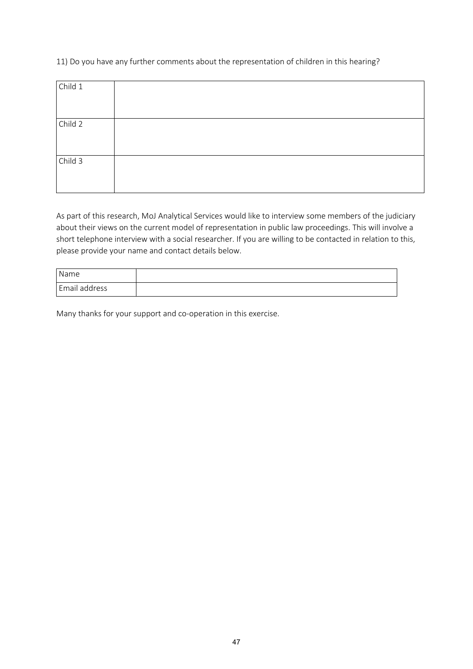11) Do you have any further comments about the representation of children in this hearing?

| Child 1 |  |
|---------|--|
|         |  |
| Child 2 |  |
|         |  |
| Child 3 |  |
|         |  |

As part of this research, MoJ Analytical Services would like to interview some members of the judiciary about their views on the current model of representation in public law proceedings. This will involve a short telephone interview with a social researcher. If you are willing to be contacted in relation to this, please provide your name and contact details below.

| Name          |  |
|---------------|--|
| Email address |  |

Many thanks for your support and co-operation in this exercise.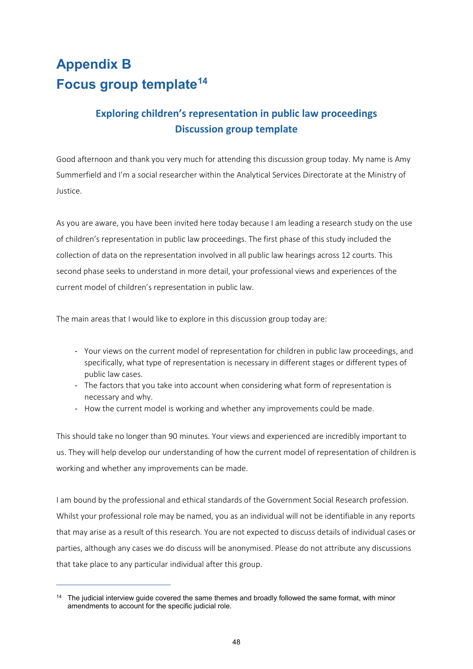# <span id="page-52-1"></span><span id="page-52-0"></span>**Appendix B Focus group template[14](#page-52-2)**

## **Exploring children's representation in public law proceedings Discussion group template**

Good afternoon and thank you very much for attending this discussion group today. My name is Amy Summerfield and I'm a social researcher within the Analytical Services Directorate at the Ministry of Justice.

As you are aware, you have been invited here today because I am leading a research study on the use of children's representation in public law proceedings. The first phase of this study included the collection of data on the representation involved in all public law hearings across 12 courts. This second phase seeks to understand in more detail, your professional views and experiences of the current model of children's representation in public law.

The main areas that I would like to explore in this discussion group today are:

- Your views on the current model of representation for children in public law proceedings, and specifically, what type of representation is necessary in different stages or different types of public law cases.
- The factors that you take into account when considering what form of representation is necessary and why.
- How the current model is working and whether any improvements could be made.

This should take no longer than 90 minutes. Your views and experienced are incredibly important to us. They will help develop our understanding of how the current model of representation of children is working and whether any improvements can be made.

I am bound by the professional and ethical standards of the Government Social Research profession. Whilst your professional role may be named, you as an individual will not be identifiable in any reports that may arise as a result of this research. You are not expected to discuss details of individual cases or parties, although any cases we do discuss will be anonymised. Please do not attribute any discussions that take place to any particular individual after this group.

 $\overline{a}$ 

<span id="page-52-2"></span> $14$  The judicial interview quide covered the same themes and broadly followed the same format, with minor amendments to account for the specific judicial role.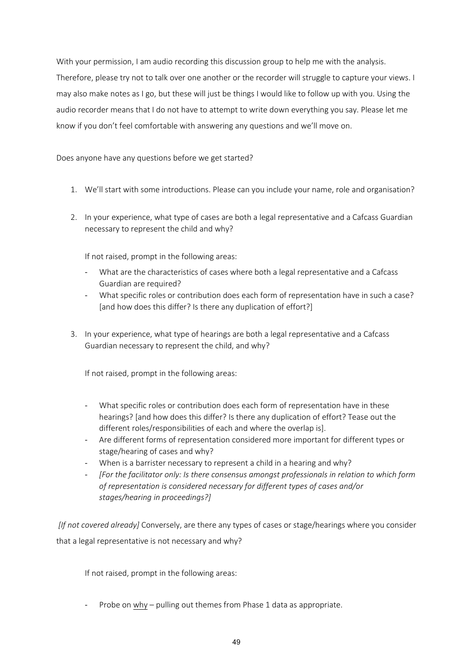With your permission, I am audio recording this discussion group to help me with the analysis. Therefore, please try not to talk over one another or the recorder will struggle to capture your views. I may also make notes as I go, but these will just be things I would like to follow up with you. Using the audio recorder means that I do not have to attempt to write down everything you say. Please let me know if you don't feel comfortable with answering any questions and we'll move on.

Does anyone have any questions before we get started?

- 1. We'll start with some introductions. Please can you include your name, role and organisation?
- 2. In your experience, what type of cases are both a legal representative and a Cafcass Guardian necessary to represent the child and why?

If not raised, prompt in the following areas:

- What are the characteristics of cases where both a legal representative and a Cafcass Guardian are required?
- What specific roles or contribution does each form of representation have in such a case? [and how does this differ? Is there any duplication of effort?]
- 3. In your experience, what type of hearings are both a legal representative and a Cafcass Guardian necessary to represent the child, and why?

If not raised, prompt in the following areas:

- What specific roles or contribution does each form of representation have in these hearings? [and how does this differ? Is there any duplication of effort? Tease out the different roles/responsibilities of each and where the overlap is].
- Are different forms of representation considered more important for different types or stage/hearing of cases and why?
- When is a barrister necessary to represent a child in a hearing and why?
- *[For the facilitator only: Is there consensus amongst professionals in relation to which form of representation is considered necessary for different types of cases and/or stages/hearing in proceedings?]*

*[If not covered already]* Conversely, are there any types of cases or stage/hearings where you consider that a legal representative is not necessary and why?

If not raised, prompt in the following areas:

- Probe on why – pulling out themes from Phase 1 data as appropriate.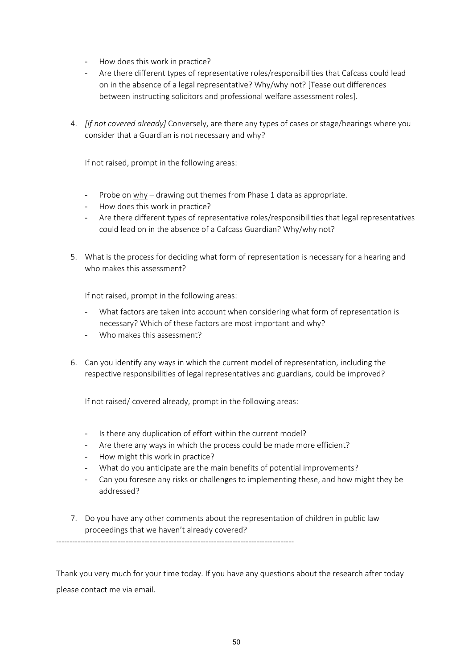- How does this work in practice?
- Are there different types of representative roles/responsibilities that Cafcass could lead on in the absence of a legal representative? Why/why not? [Tease out differences between instructing solicitors and professional welfare assessment roles].
- 4. *[If not covered already]* Conversely, are there any types of cases or stage/hearings where you consider that a Guardian is not necessary and why?

If not raised, prompt in the following areas:

- Probe on why drawing out themes from Phase 1 data as appropriate.
- How does this work in practice?
- Are there different types of representative roles/responsibilities that legal representatives could lead on in the absence of a Cafcass Guardian? Why/why not?
- 5. What is the process for deciding what form of representation is necessary for a hearing and who makes this assessment?

If not raised, prompt in the following areas:

- What factors are taken into account when considering what form of representation is necessary? Which of these factors are most important and why?
- Who makes this assessment?
- 6. Can you identify any ways in which the current model of representation, including the respective responsibilities of legal representatives and guardians, could be improved?

If not raised/ covered already, prompt in the following areas:

- Is there any duplication of effort within the current model?

-----------------------------------------------------------------------------------------

- Are there any ways in which the process could be made more efficient?
- How might this work in practice?
- What do you anticipate are the main benefits of potential improvements?
- Can you foresee any risks or challenges to implementing these, and how might they be addressed?
- 7. Do you have any other comments about the representation of children in public law proceedings that we haven't already covered?

Thank you very much for your time today. If you have any questions about the research after today please contact me via email.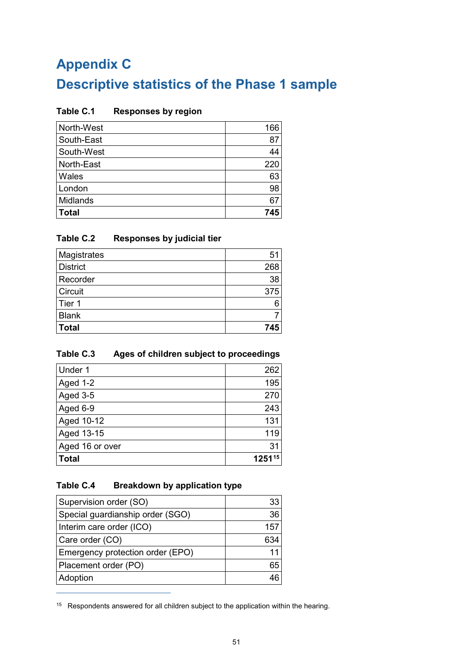# <span id="page-55-1"></span><span id="page-55-0"></span>**Appendix C Descriptive statistics of the Phase 1 sample**

#### <span id="page-55-2"></span>**Table C.1 Responses by region**

| North-West   | 166 |
|--------------|-----|
| South-East   | 87  |
| South-West   | 44  |
| North-East   | 220 |
| Wales        | 63  |
| London       | 98  |
| Midlands     | 67  |
| <b>Total</b> | 745 |

#### <span id="page-55-3"></span>**Table C.2 Responses by judicial tier**

| Magistrates     | 51  |
|-----------------|-----|
| <b>District</b> | 268 |
| Recorder        | 38  |
| Circuit         | 375 |
| Tier 1          |     |
| <b>Blank</b>    |     |
| <b>Total</b>    | 745 |

## <span id="page-55-4"></span>**Table C.3 Ages of children subject to proceedings**

| Under 1         | 262    |
|-----------------|--------|
| Aged 1-2        | 195    |
| Aged 3-5        | 270    |
| Aged 6-9        | 243    |
| Aged 10-12      | 131    |
| Aged 13-15      | 119    |
| Aged 16 or over | 31     |
| <b>Total</b>    | 125115 |

## <span id="page-55-5"></span>**Table C.4 Breakdown by application type**

 $\overline{a}$ 

| Supervision order (SO)           | 33  |
|----------------------------------|-----|
| Special guardianship order (SGO) | 36  |
| Interim care order (ICO)         | 157 |
| Care order (CO)                  | 634 |
| Emergency protection order (EPO) | 11  |
| Placement order (PO)             | 65  |
| Adoption                         |     |

<span id="page-55-6"></span><sup>&</sup>lt;sup>15</sup> Respondents answered for all children subject to the application within the hearing.